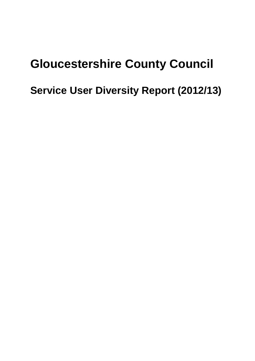# **Gloucestershire County Council**

# **Service User Diversity Report (2012/13)**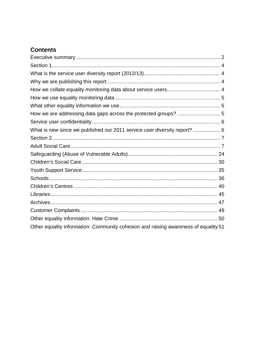# **Contents**

| What is new since we published our 2011 service user diversity report?  6           |
|-------------------------------------------------------------------------------------|
|                                                                                     |
|                                                                                     |
|                                                                                     |
|                                                                                     |
|                                                                                     |
|                                                                                     |
|                                                                                     |
|                                                                                     |
|                                                                                     |
|                                                                                     |
|                                                                                     |
| Other equality information: Community cohesion and raising awareness of equality 51 |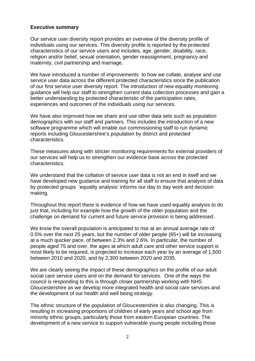#### <span id="page-2-0"></span>**Executive summary**

Our service user diversity report provides an overview of the diversity profile of individuals using our services. This diversity profile is reported by the protected characteristics of our service users and includes, age, gender, disability, race, religion and/or belief, sexual orientation, gender reassignment, pregnancy and maternity, civil partnership and marriage.

We have introduced a number of improvements to how we collate, analyse and use service user data across the different protected characteristics since the publication of our first service user diversity report. The introduction of new equality monitoring guidance will help our staff to strengthen current data collection processes and gain a better understanding by protected characteristic of the participation rates, experiences and outcomes of the individuals using our services.

We have also improved how we share and use other data sets such as population demographics with our staff and partners. This includes the introduction of a new software programme which will enable our commissioning staff to run dynamic reports including Gloucestershire's population by district and protected characteristics.

These measures along with stricter monitoring requirements for external providers of our services will help us to strengthen our evidence base across the protected characteristics.

We understand that the collation of service user data is not an end in itself and we have developed new guidance and training for all staff to ensure that analysis of data by protected groups 'equality analysis' informs our day to day work and decision making.

Throughout this report there is evidence of how we have used equality analysis to do just that, including for example how the growth of the older population and the challenge on demand for current and future service provision is being addressed.

We know the overall population is anticipated to rise at an annual average rate of 0.5% over the next 25 years, but the number of older people (65+) will be increasing at a much quicker pace, of between 2.3% and 2.6%. In particular, the number of people aged 75 and over, the ages at which adult care and other service support is most likely to be required, is projected to increase each year by an average of 1,500 between 2010 and 2020, and by 2,300 between 2020 and 2035.

We are clearly seeing the impact of these demographics on the profile of our adult social care service users and on the demand for services. One of the ways the council is responding to this is through closer partnership working with NHS Gloucestershire as we develop more integrated health and social care services and the development of our health and well being strategy.

The ethnic structure of the population of Gloucestershire is also changing. This is resulting in increasing proportions of children of early years and school age from minority ethnic groups, particularly those from eastern European countries. The development of a new service to support vulnerable young people including those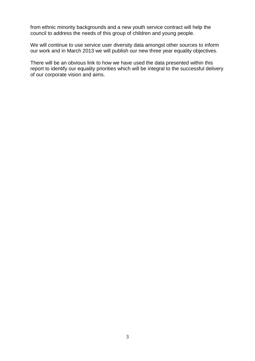from ethnic minority backgrounds and a new youth service contract will help the council to address the needs of this group of children and young people.

We will continue to use service user diversity data amongst other sources to inform our work and in March 2013 we will publish our new three year equality objectives.

There will be an obvious link to how we have used the data presented within this report to identify our equality priorities which will be integral to the successful delivery of our corporate vision and aims.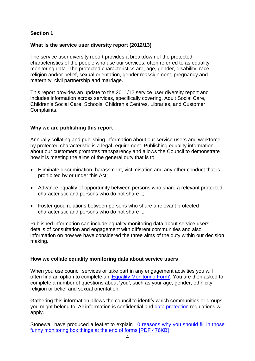# <span id="page-4-0"></span>**Section 1**

#### <span id="page-4-1"></span>**What is the service user diversity report (2012/13)**

The service user diversity report provides a breakdown of the protected characteristics of the people who use our services, often referred to as equality monitoring data. The protected characteristics are, age, gender, disability, race, religion and/or belief, sexual orientation, gender reassignment, pregnancy and maternity, civil partnership and marriage.

This report provides an update to the 2011/12 service user diversity report and includes information across services, specifically covering, Adult Social Care, Children's Social Care, Schools, Children's Centres, Libraries, and Customer Complaints.

# <span id="page-4-2"></span>**Why we are publishing this report**

Annually collating and publishing information about our service users and workforce by protected characteristic is a legal requirement. Publishing equality information about our customers promotes transparency and allows the Council to demonstrate how it is meeting the aims of the general duty that is to:

- Eliminate discrimination, harassment, victimisation and any other conduct that is prohibited by or under this Act;
- Advance equality of opportunity between persons who share a relevant protected characteristic and persons who do not share it;
- Foster good relations between persons who share a relevant protected characteristic and persons who do not share it.

Published information can include equality monitoring data about service users, details of consultation and engagement with different communities and also information on how we have considered the three aims of the duty within our decision making.

#### <span id="page-4-3"></span>**How we collate equality monitoring data about service users**

When you use council services or take part in any engagement activities you will often find an option to complete an ['Equality Monitoring Form'.](http://www.gloucestershire.gov.uk/article/112273/Monitoring) You are then asked to complete a number of questions about 'you', such as your age, gender, ethnicity, religion or belief and sexual orientation.

Gathering this information allows the council to identify which communities or groups you might belong to. All information is confidential and [data protection](http://www.gloucestershire.gov.uk/dataprotection) regulations will apply.

Stonewall have produced a leaflet to explain [10 reasons why you should fill in those](http://www.stonewall.org.uk/other/startdownload.asp?openType=forced&documentID=1928)  [funny monitoring box things at the end of forms \[PDF 476KB\]](http://www.stonewall.org.uk/other/startdownload.asp?openType=forced&documentID=1928)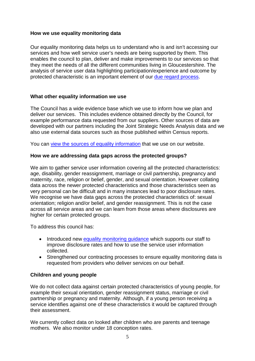# <span id="page-5-0"></span>**How we use equality monitoring data**

Our equality monitoring data helps us to understand who is and isn't accessing our services and how well service user's needs are being supported by them. This enables the council to plan, deliver and make improvements to our services so that they meet the needs of all the different communities living in Gloucestershire. The analysis of service user data highlighting participation/experience and outcome by protected characteristic is an important element of our [due regard process.](http://www.gloucestershire.gov.uk/article/112283/Decision-making)

# <span id="page-5-1"></span>**What other equality information we use**

The Council has a wide evidence base which we use to inform how we plan and deliver our services. This includes evidence obtained directly by the Council, for example performance data requested from our suppliers. Other sources of data are developed with our partners including the Joint Strategic Needs Analysis data and we also use external data sources such as those published within Census reports.

You can [view the sources of equality](http://www.gloucestershire.gov.uk/article/112269/Information-and-analysis) information that we use on our website.

# <span id="page-5-2"></span>**How we are addressing data gaps across the protected groups?**

We aim to gather service user information covering all the protected characteristics: age, disability, gender reassignment, marriage or civil partnership, pregnancy and maternity, race, religion or belief, gender, and sexual orientation. However collating data across the newer protected characteristics and those characteristics seen as very personal can be difficult and in many instances lead to poor disclosure rates. We recognise we have data gaps across the protected characteristics of: sexual orientation; religion and/or belief, and gender reassignment. This is not the case across all service areas and we can learn from those areas where disclosures are higher for certain protected groups.

To address this council has:

- Introduced new equality monitoring quidance which supports our staff to improve disclosure rates and how to use the service user information collected.
- Strengthened our contracting processes to ensure equality monitoring data is requested from providers who deliver services on our behalf.

# **Children and young people**

We do not collect data against certain protected characteristics of young people, for example their sexual orientation, gender reassignment status, marriage or civil partnership or pregnancy and maternity. Although, if a young person receiving a service identifies against one of these characteristics it would be captured through their assessment.

We currently collect data on looked after children who are parents and teenage mothers. We also monitor under 18 conception rates.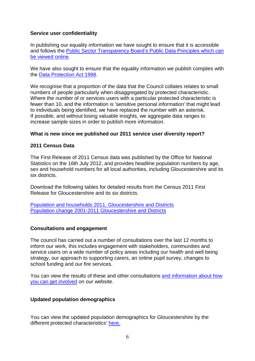#### <span id="page-6-0"></span>**Service user confidentiality**

In publishing our equality information we have sought to ensure that it is accessible and follows the [Public Sector Transparency Board's Public Data Principles which can](http://data.gov.uk/blog/new-public-sector-transparency-board-and-public-data-transparency-principles)  [be viewed online.](http://data.gov.uk/blog/new-public-sector-transparency-board-and-public-data-transparency-principles)

We have also sought to ensure that the equality information we publish complies with the [Data Protection Act 1998.](http://www.ico.gov.uk/for_organisations/data_protection.aspx)

We recognise that a proportion of the data that the Council collates relates to small numbers of people particularly when disaggregated by protected characteristic. Where the number of or services users with a particular protected characteristic is fewer than 10, and the information is 'sensitive personal information' that might lead to individuals being identified, we have replaced the number with an asterisk. If possible, and without losing valuable insights, we aggregate data ranges to increase sample sizes in order to publish more information.

#### <span id="page-6-1"></span>**What is new since we published our 2011 service user diversity report?**

#### **2011 Census Data**

The First Release of 2011 Census data was published by the Office for National Statistics on the 16th July 2012, and provides headline population numbers by age, sex and household numbers for all local authorities, including Gloucestershire and its six districts.

Download the following tables for detailed results from the Census 2011 First Release for Gloucestershire and its six districts.

[Population and households 2011, Gloucestershire and Districts](https://email07.europe.secureserver.net/utilities/action/act_download.cfm?mediaid=52484) [Population change 2001-2011 Gloucestershire and Districts](https://email07.europe.secureserver.net/utilities/action/act_download.cfm?mediaid=52485)

#### **Consultations and engagement**

The council has carried out a number of consultations over the last 12 months to inform our work, this includes engagement with stakeholders, communities and service users on a wide number of policy areas including our health and well being strategy, our approach to supporting carers, an online pupil survey, changes to school funding and our fire services.

You can view the results of these and other consultations [and information about how](http://www.gloucestershire.gov.uk/article/104778/Consultations)  [you can get involved](http://www.gloucestershire.gov.uk/article/104778/Consultations) on our website.

#### **Updated population demographics**

You can view the updated population demographics for Gloucestershire by the different protected characteristics' [here.](http://www.gloucestershire.gov.uk/article/112269/Information-and-analysis)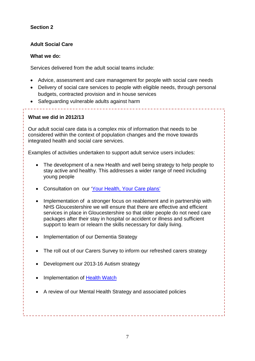# <span id="page-7-0"></span>**Section 2**

# <span id="page-7-1"></span>**Adult Social Care**

## **What we do:**

Services delivered from the adult social teams include:

- Advice, assessment and care management for people with social care needs
- Delivery of social care services to people with eligible needs, through personal budgets, contracted provision and in house services

• Safeguarding vulnerable adults against harm

# **What we did in 2012/13**

Our adult social care data is a complex mix of information that needs to be considered within the context of population changes and the move towards integrated health and social care services.

Examples of activities undertaken to support adult service users includes:

- The development of a new Health and well being strategy to help people to stay active and healthy. This addresses a wider range of need including young people
- Consultation on our ['Your Health, Your Care plans'](http://www.gloucestershire.gov.uk/CHttpHandler.ashx?id=53312&p=0)
- Implementation of a stronger focus on reablement and in partnership with NHS Gloucestershire we will ensure that there are effective and efficient services in place in Gloucestershire so that older people do not need care packages after their stay in hospital or accident or illness and sufficient support to learn or relearn the skills necessary for daily living.
- Implementation of our Dementia Strategy
- The roll out of our Carers Survey to inform our refreshed carers strategy
- Development our 2013-16 Autism strategy
- Implementation of [Health Watch](http://www.gloucestershire.gov.uk/article/109032/Have-your-say-on-HealthWatch)
- A review of our Mental Health Strategy and associated policies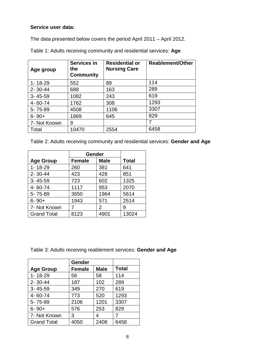# **Service user data:**

The data presented below covers the period April 2011 – April 2012.

| Age group     | <b>Services in</b><br>the<br><b>Community</b> | <b>Residential or</b><br><b>Nursing Care</b> | <b>Reablement/Other</b> |
|---------------|-----------------------------------------------|----------------------------------------------|-------------------------|
| $1 - 18 - 29$ | 552                                           | 89                                           | 114                     |
| $2 - 30 - 44$ | 688                                           | 163                                          | 289                     |
| $3 - 45 - 59$ | 1082                                          | 243                                          | 619                     |
| 4-60-74       | 1762                                          | 308                                          | 1293                    |
| 5-75-89       | 4508                                          | 1106                                         | 3307                    |
| $6 - 90 +$    | 1869                                          | 645                                          | 829                     |
| 7- Not Known  | 9                                             |                                              | 7                       |
| Total         | 10470                                         | 2554                                         | 6458                    |

Table 1: Adults receiving community and residential services: **Age**

| Table 2: Adults receiving community and residential services: Gender and Age |  |  |  |
|------------------------------------------------------------------------------|--|--|--|
|------------------------------------------------------------------------------|--|--|--|

|                    | Gender        |             |              |
|--------------------|---------------|-------------|--------------|
| <b>Age Group</b>   | <b>Female</b> | <b>Male</b> | <b>Total</b> |
| $1 - 18 - 29$      | 260           | 381         | 641          |
| $2 - 30 - 44$      | 423           | 428         | 851          |
| $3 - 45 - 59$      | 723           | 602         | 1325         |
| 4-60-74            | 1117          | 953         | 2070         |
| 5-75-89            | 3650          | 1964        | 5614         |
| $6 - 90 +$         | 1943          | 571         | 2514         |
| 7- Not Known       |               | 2           | 9            |
| <b>Grand Total</b> | 8123          | 4901        | 13024        |

Table 3: Adults receiving reablement services: **Gender and Age**

|                    | Gender        |             |              |
|--------------------|---------------|-------------|--------------|
| <b>Age Group</b>   | <b>Female</b> | <b>Male</b> | <b>Total</b> |
| 1-18-29            | 56            | 58          | 114          |
| $2 - 30 - 44$      | 187           | 102         | 289          |
| $3 - 45 - 59$      | 349           | 270         | 619          |
| 4-60-74            | 773           | 520         | 1293         |
| 5-75-89            | 2106          | 1201        | 3307         |
| $6 - 90 +$         | 576           | 253         | 829          |
| 7- Not Known       | 3             | 4           | 7            |
| <b>Grand Total</b> | 4050          | 2408        | 6458         |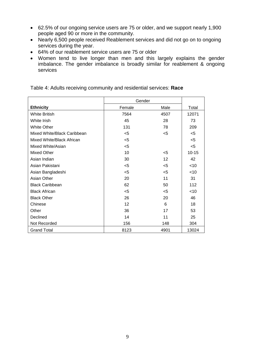- 62.5% of our ongoing service users are 75 or older, and we support nearly 1,900 people aged 90 or more in the community.
- Nearly 6,500 people received Reablement services and did not go on to ongoing services during the year.
- 64% of our reablement service users are 75 or older
- Women tend to live longer than men and this largely explains the gender imbalance. The gender imbalance is broadly similar for reablement & ongoing services

|                             | Gender |       |           |
|-----------------------------|--------|-------|-----------|
| <b>Ethnicity</b>            | Female | Male  | Total     |
| <b>White British</b>        | 7564   | 4507  | 12071     |
| White Irish                 | 45     | 28    | 73        |
| <b>White Other</b>          | 131    | 78    | 209       |
| Mixed White/Black Caribbean | $5$    | $5$   | $5$       |
| Mixed White/Black African   | $5$    |       | $5$       |
| Mixed White/Asian           | $5$    |       | < 5       |
| <b>Mixed Other</b>          | 10     | $<$ 5 | $10 - 15$ |
| Asian Indian                | 30     | 12    | 42        |
| Asian Pakistani             | $5$    | $5$   | <10       |
| Asian Bangladeshi           | $5$    | $5$   | <10       |
| Asian Other                 | 20     | 11    | 31        |
| <b>Black Caribbean</b>      | 62     | 50    | 112       |
| <b>Black African</b>        | $5$    | $<$ 5 | <10       |
| <b>Black Other</b>          | 26     | 20    | 46        |
| Chinese                     | 12     | 6     | 18        |
| Other                       | 36     | 17    | 53        |
| Declined                    | 14     | 11    | 25        |
| Not Recorded                | 156    | 148   | 304       |
| <b>Grand Total</b>          | 8123   | 4901  | 13024     |

Table 4: Adults receiving community and residential services: **Race**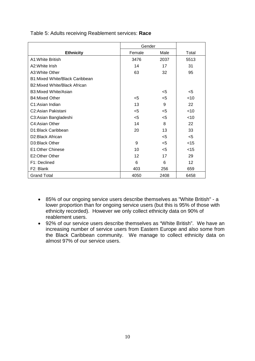|                                            | Gender |       |        |
|--------------------------------------------|--------|-------|--------|
| <b>Ethnicity</b>                           | Female | Male  | Total  |
| A1: White British                          | 3476   | 2037  | 5513   |
| A2: White Irish                            | 14     | 17    | 31     |
| A3: White Other                            | 63     | 32    | 95     |
| <b>B1:Mixed White/Black Caribbean</b>      |        |       |        |
| B <sub>2</sub> : Mixed White/Black African |        |       |        |
| B3: Mixed White/Asian                      |        | $<$ 5 | $<$ 5  |
| <b>B4:Mixed Other</b>                      | $<$ 5  | $<$ 5 | < 10   |
| C1:Asian Indian                            | 13     | 9     | 22     |
| C <sub>2</sub> : Asian Pakistani           | $<$ 5  | $<$ 5 | < 10   |
| C3:Asian Bangladeshi                       | $5$    | $5$   | $<$ 10 |
| C4: Asian Other                            | 14     | 8     | 22     |
| D1:Black Caribbean                         | 20     | 13    | 33     |
| D <sub>2</sub> : Black African             |        | $<$ 5 | <5     |
| D3:Black Other                             | 9      | $<$ 5 | $<$ 15 |
| E1:Other Chinese                           | 10     | $<$ 5 | $<$ 15 |
| E2:Other Other                             | 12     | 17    | 29     |
| F1: Declined                               | 6      | 6     | 12     |
| F2: Blank                                  | 403    | 256   | 659    |
| <b>Grand Total</b>                         | 4050   | 2408  | 6458   |

#### Table 5: Adults receiving Reablement services: **Race**

- 85% of our ongoing service users describe themselves as "White British" a lower proportion than for ongoing service users (but this is 95% of those with ethnicity recorded). However we only collect ethnicity data on 90% of reablement users.
- 92% of our service users describe themselves as "White British". We have an increasing number of service users from Eastern Europe and also some from the Black Caribbean community. We manage to collect ethnicity data on almost 97% of our service users.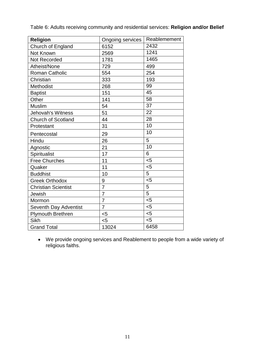| <b>Religion</b>            | Ongoing services | Reablemement |
|----------------------------|------------------|--------------|
| Church of England          | 6152             | 2432         |
| Not Known                  | 2569             | 1241         |
| <b>Not Recorded</b>        | 1781             | 1465         |
| Atheist/None               | 729              | 499          |
| <b>Roman Catholic</b>      | 554              | 254          |
| Christian                  | 333              | 193          |
| Methodist                  | 268              | 99           |
| <b>Baptist</b>             | 151              | 45           |
| Other                      | 141              | 58           |
| <b>Muslim</b>              | 54               | 37           |
| Jehovah's Witness          | 51               | 22           |
| <b>Church of Scotland</b>  | 44               | 28           |
| Protestant                 | 31               | 10           |
| Pentecostal                | 29               | 10           |
| Hindu                      | 26               | 5            |
| Agnostic                   | 21               | 10           |
| Spiritualist               | 17               | 6            |
| <b>Free Churches</b>       | 11               | $5$          |
| Quaker                     | 11               | $5$          |
| <b>Buddhist</b>            | 10               | 5            |
| <b>Greek Orthodox</b>      | 9                | $5$          |
| <b>Christian Scientist</b> | $\overline{7}$   | 5            |
| Jewish                     | $\overline{7}$   | 5            |
| Mormon                     | 7                | $<$ 5        |
| Seventh Day Adventist      | $\overline{7}$   | $5$          |
| Plymouth Brethren          | $5$              | $5$          |
| Sikh                       | $5$              | $5$          |
| <b>Grand Total</b>         | 13024            | 6458         |

Table 6: Adults receiving community and residential services: **Religion and/or Belief**

• We provide ongoing services and Reablement to people from a wide variety of religious faiths.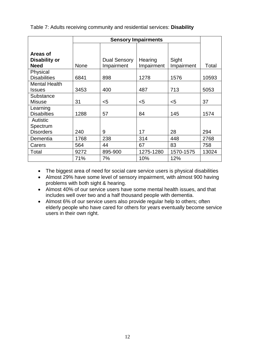Table 7: Adults receiving community and residential services: **Disability**

|                      | <b>Sensory Impairments</b> |                     |            |            |       |
|----------------------|----------------------------|---------------------|------------|------------|-------|
|                      |                            |                     |            |            |       |
| Areas of             |                            |                     |            |            |       |
| Disability or        |                            | <b>Dual Sensory</b> | Hearing    | Sight      |       |
| <b>Need</b>          | <b>None</b>                | Impairment          | Impairment | Impairment | Total |
| Physical             |                            |                     |            |            |       |
| <b>Disabilities</b>  | 6841                       | 898                 | 1278       | 1576       | 10593 |
| <b>Mental Health</b> |                            |                     |            |            |       |
| <b>Issues</b>        | 3453                       | 400                 | 487        | 713        | 5053  |
| Substance            |                            |                     |            |            |       |
| <b>Misuse</b>        | 31                         | $5$                 | $5$        | $5$        | 37    |
| Learning             |                            |                     |            |            |       |
| <b>Disabilties</b>   | 1288                       | 57                  | 84         | 145        | 1574  |
| <b>Autistic</b>      |                            |                     |            |            |       |
| Spectrum             |                            |                     |            |            |       |
| <b>Disorders</b>     | 240                        | 9                   | 17         | 28         | 294   |
| Dementia             | 1768                       | 238                 | 314        | 448        | 2768  |
| Carers               | 564                        | 44                  | 67         | 83         | 758   |
| Total                | 9272                       | 895-900             | 1275-1280  | 1570-1575  | 13024 |
|                      | 71%                        | 7%                  | 10%        | 12%        |       |

• The biggest area of need for social care service users is physical disabilities

• Almost 29% have some level of sensory impairment, with almost 900 having problems with both sight & hearing.

• Almost 40% of our service users have some mental health issues, and that includes well over two and a half thousand people with dementia.

• Almost 6% of our service users also provide regular help to others; often elderly people who have cared for others for years eventually become service users in their own right.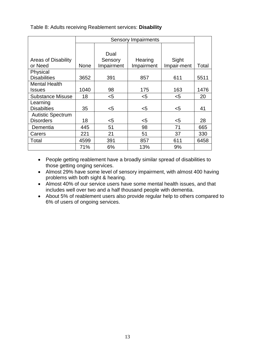Table 8: Adults receiving Reablement services: **Disability**

|                            |             | <b>Sensory Impairments</b> |            |             |       |
|----------------------------|-------------|----------------------------|------------|-------------|-------|
|                            |             |                            |            |             |       |
|                            |             | Dual                       |            |             |       |
| <b>Areas of Disability</b> |             | Sensory                    | Hearing    | Sight       |       |
| or Need                    | <b>None</b> | Impairment                 | Impairment | Impair-ment | Total |
| Physical                   |             |                            |            |             |       |
| <b>Disabilities</b>        | 3652        | 391                        | 857        | 611         | 5511  |
| <b>Mental Health</b>       |             |                            |            |             |       |
| <b>Issues</b>              | 1040        | 98                         | 175        | 163         | 1476  |
| <b>Substance Misuse</b>    | 18          | $5$                        | $5$        | $<$ 5       | 20    |
| Learning                   |             |                            |            |             |       |
| <b>Disabilties</b>         | 35          | $<$ 5                      | $5$        | $<$ 5       | 41    |
| <b>Autistic Spectrum</b>   |             |                            |            |             |       |
| <b>Disorders</b>           | 18          | $<$ 5                      | $5$        | $5$         | 28    |
| Dementia                   | 445         | 51                         | 98         | 71          | 665   |
| Carers                     | 221         | 21                         | 51         | 37          | 330   |
| Total                      | 4599        | 391                        | 857        | 611         | 6458  |
|                            | 71%         | 6%                         | 13%        | 9%          |       |

• People getting reablement have a broadly similar spread of disabilities to those getting onging services.

- Almost 29% have some level of sensory impairment, with almost 400 having problems with both sight & hearing.
- Almost 40% of our service users have some mental health issues, and that includes well over two and a half thousand people with dementia.
- About 5% of reablement users also provide regular help to others compared to 6% of users of ongoing services.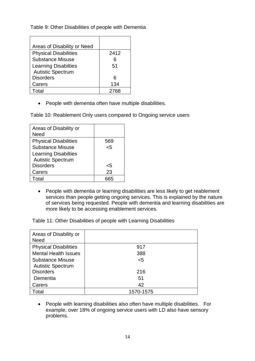Table 9: Other Disabilities of people with Dementia

| Areas of Disability or Need  |      |
|------------------------------|------|
| <b>Physical Disabilities</b> | 2412 |
| <b>Substance Misuse</b>      | 6    |
| <b>Learning Disabilties</b>  | 51   |
| <b>Autistic Spectrum</b>     |      |
| <b>Disorders</b>             | 6    |
| Carers                       | 134  |
| Total                        | 2768 |

• People with dementia often have multiple disabilities.

Table 10: Reablement Only users compared to Ongoing service users

| Areas of Disability or<br>Need |     |
|--------------------------------|-----|
| <b>Physical Disabilities</b>   | 569 |
| <b>Substance Misuse</b>        | 5>  |
| <b>Learning Disabilties</b>    |     |
| <b>Autistic Spectrum</b>       |     |
| <b>Disorders</b>               | <5  |
| Carers                         | 23  |
| Total                          | 665 |

• People with dementia or learning disabilities are less likely to get reablement services than people getting ongoing services. This is explained by the nature of services being requested. People with dementia and learning disabilities are more likely to be accessing enablement services.

Table 11: Other Disabilities of people with Learning Disabilities

| Areas of Disability or<br><b>Need</b> |           |
|---------------------------------------|-----------|
| <b>Physical Disabilities</b>          | 917       |
| <b>Mental Health Issues</b>           | 388       |
| <b>Substance Misuse</b>               | $<$ 5     |
| <b>Autistic Spectrum</b>              |           |
| <b>Disorders</b>                      | 216       |
| Dementia                              | 51        |
| Carers                                | 42        |
| Total                                 | 1570-1575 |

• People with learning disabilities also often have multiple disabilities. For example, over 18% of ongoing service users with LD also have sensory problems.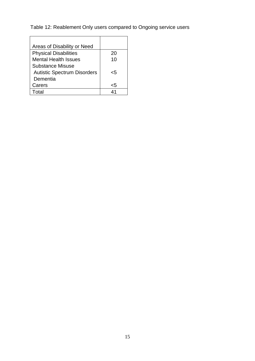Table 12: Reablement Only users compared to Ongoing service users

| Areas of Disability or Need        |    |
|------------------------------------|----|
| <b>Physical Disabilities</b>       | 20 |
| <b>Mental Health Issues</b>        | 10 |
| Substance Misuse                   |    |
| <b>Autistic Spectrum Disorders</b> | 5. |
| Dementia                           |    |
| Carers                             | ch |
| ntal                               | Λ1 |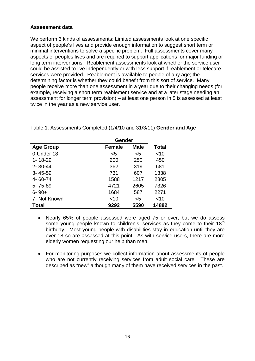# **Assessment data**

We perform 3 kinds of assessments: Limited assessments look at one specific aspect of people's lives and provide enough information to suggest short term or minimal interventions to solve a specific problem. Full assessments cover many aspects of peoples lives and are required to support applications for major funding or long term interventions. Reablement assessments look at whether the service user could be assisted to live independently or with less support if reablement or telecare services were provided. Reablement is available to people of any age; the determining factor is whether they could benefit from this sort of service. Many people receive more than one assessment in a year due to their changing needs (for example, receiving a short term reablement service and at a later stage needing an assessment for longer term provision) – at least one person in 5 is assessed at least twice in the year as a new service user.

|                  | Gender        |             |              |
|------------------|---------------|-------------|--------------|
| <b>Age Group</b> | <b>Female</b> | <b>Male</b> | <b>Total</b> |
| 0-Under 18       | $5$           | <5          | $<$ 10       |
| $1 - 18 - 29$    | 200           | 250         | 450          |
| $2 - 30 - 44$    | 362           | 319         | 681          |
| $3 - 45 - 59$    | 731           | 607         | 1338         |
| 4-60-74          | 1588          | 1217        | 2805         |
| 5-75-89          | 4721          | 2605        | 7326         |
| $6 - 90 +$       | 1684          | 587         | 2271         |
| 7- Not Known     | $<$ 10        | $<$ 5       | ~10          |
| <b>Total</b>     | 9292          | 5590        | 14882        |

Table 1: Assessments Completed (1/4/10 and 31/3/11) **Gender and Age**

- Nearly 65% of people assessed were aged 75 or over, but we do assess some young people known to children's' services as they come to their 18<sup>th</sup> birthday. Most young people with disabilities stay in education until they are over 18 so are assessed at this point. As with service users, there are more elderly women requesting our help than men.
- For monitoring purposes we collect information about assessments of people who are not currently receiving services from adult social care. These are described as "new" although many of them have received services in the past.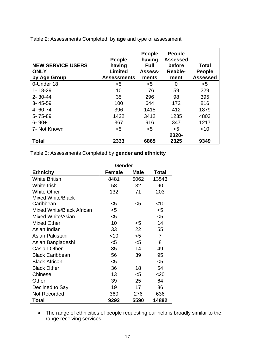| <b>NEW SERVICE USERS</b><br><b>ONLY</b><br>by Age Group | <b>People</b><br>having<br>Limited<br><b>Assessments</b> | <b>People</b><br>having<br><b>Full</b><br>Assess-<br>ments | <b>People</b><br><b>Assessed</b><br>before<br>Reable-<br>ment | <b>Total</b><br><b>People</b><br><b>Assessed</b> |
|---------------------------------------------------------|----------------------------------------------------------|------------------------------------------------------------|---------------------------------------------------------------|--------------------------------------------------|
| 0-Under 18                                              | $5$                                                      | $5$                                                        | 0                                                             | $5$                                              |
| $1 - 18 - 29$                                           | 10                                                       | 176                                                        | 59                                                            | 229                                              |
| $2 - 30 - 44$                                           | 35                                                       | 296                                                        | 98                                                            | 395                                              |
| $3 - 45 - 59$                                           | 100                                                      | 644                                                        | 172                                                           | 816                                              |
| 4-60-74                                                 | 396                                                      | 1415                                                       | 412                                                           | 1879                                             |
| 5-75-89                                                 | 1422                                                     | 3412                                                       | 1235                                                          | 4803                                             |
| $6 - 90 +$                                              | 367                                                      | 916                                                        | 347                                                           | 1217                                             |
| 7- Not Known                                            | $5$                                                      | $5$                                                        | $5$                                                           | $<$ 10                                           |
|                                                         |                                                          |                                                            | 2320-                                                         |                                                  |
| Total                                                   | 2333                                                     | 6865                                                       | 2325                                                          | 9349                                             |

Table 2: Assessments Completed by **age** and type of assessment

Table 3: Assessments Completed by **gender and ethnicity**

|                           | Gender        |             |                |
|---------------------------|---------------|-------------|----------------|
| <b>Ethnicity</b>          | <b>Female</b> | <b>Male</b> | <b>Total</b>   |
| <b>White British</b>      | 8481          | 5062        | 13543          |
| <b>White Irish</b>        | 58            | 32          | 90             |
| <b>White Other</b>        | 132           | 71          | 203            |
| <b>Mixed White/Black</b>  |               |             |                |
| Caribbean                 | <5            | <5          | $~<$ 10        |
| Mixed White/Black African | $5$           |             | $5$            |
| Mixed White/Asian         | $5$           |             | <5             |
| Mixed Other               | 10            | $<$ 5       | 14             |
| Asian Indian              | 33            | 22          | 55             |
| Asian Pakistani           | $<$ 10        | $<$ 5       | $\overline{7}$ |
| Asian Bangladeshi         | $<$ 5         | $5$         | 8              |
| <b>Casian Other</b>       | 35            | 14          | 49             |
| <b>Black Caribbean</b>    | 56            | 39          | 95             |
| <b>Black African</b>      | $<$ 5         |             | <5             |
| <b>Black Other</b>        | 36            | 18          | 54             |
| Chinese                   | 13            | $<$ 5       | 20             |
| Other                     | 39            | 25          | 64             |
| Declined to Say           | 19            | 17          | 36             |
| <b>Not Recorded</b>       | 360           | 276         | 636            |
| Total                     | 9292          | 5590        | 14882          |

• The range of ethnicities of people requesting our help is broadly similar to the range receiving services.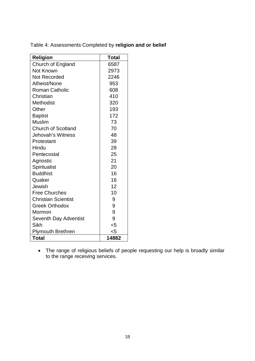| <b>Religion</b>            | Total |
|----------------------------|-------|
| Church of England          | 6587  |
| Not Known                  | 2973  |
| Not Recorded               | 2246  |
| Atheist/None               | 953   |
| <b>Roman Catholic</b>      | 608   |
| Christian                  | 410   |
| Methodist                  | 320   |
| Other                      | 193   |
| <b>Baptist</b>             | 172   |
| <b>Muslim</b>              | 73    |
| <b>Church of Scotland</b>  | 70    |
| Jehovah's Witness          | 48    |
| Protestant                 | 39    |
| Hindu                      | 28    |
| Pentecostal                | 25    |
| Agnostic                   | 21    |
| Spiritualist               | 20    |
| <b>Buddhist</b>            | 16    |
| Quaker                     | 16    |
| Jewish                     | 12    |
| <b>Free Churches</b>       | 10    |
| <b>Christian Scientist</b> | 9     |
| <b>Greek Orthodox</b>      | 9     |
| Mormon                     | 9     |
| Seventh Day Adventist      | 9     |
| <b>Sikh</b>                | $<$ 5 |
| <b>Plymouth Brethren</b>   | $5$   |
| <b>Total</b>               | 14882 |

Table 4: Assessments Completed by **religion and or belief**

• The range of religious beliefs of people requesting our help is broadly similar to the range receiving services.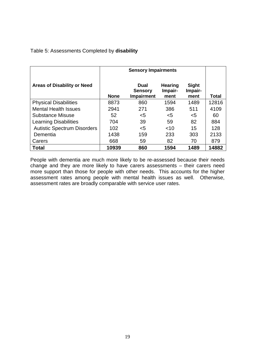#### Table 5: Assessments Completed by **disability**

|                                    | <b>Sensory Impairments</b> |                                             |                                   |                                 |              |
|------------------------------------|----------------------------|---------------------------------------------|-----------------------------------|---------------------------------|--------------|
| <b>Areas of Disability or Need</b> | <b>None</b>                | Dual<br><b>Sensory</b><br><b>Impairment</b> | <b>Hearing</b><br>Impair-<br>ment | <b>Sight</b><br>Impair-<br>ment | <b>Total</b> |
| <b>Physical Disabilities</b>       | 8873                       | 860                                         | 1594                              | 1489                            | 12816        |
| <b>Mental Health Issues</b>        | 2941                       | 271                                         | 386                               | 511                             | 4109         |
| <b>Substance Misuse</b>            | 52                         | <5                                          | $<$ 5                             | <5                              | 60           |
| <b>Learning Disabilities</b>       | 704                        | 39                                          | 59                                | 82                              | 884          |
| <b>Autistic Spectrum Disorders</b> | 102                        | $<$ 5                                       | $<$ 10                            | 15                              | 128          |
| Dementia                           | 1438                       | 159                                         | 233                               | 303                             | 2133         |
| Carers                             | 668                        | 59                                          | 82                                | 70                              | 879          |
| <b>Total</b>                       | 10939                      | 860                                         | 1594                              | 1489                            | 14882        |

People with dementia are much more likely to be re-assessed because their needs change and they are more likely to have carers assessments – their carers need more support than those for people with other needs. This accounts for the higher assessment rates among people with mental health issues as well. Otherwise, assessment rates are broadly comparable with service user rates.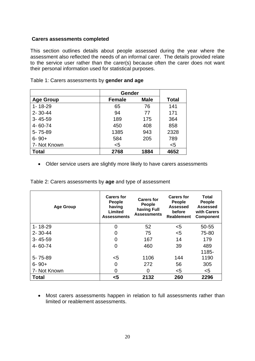#### **Carers assessments completed**

This section outlines details about people assessed during the year where the assessment also reflected the needs of an informal carer. The details provided relate to the service user rather than the carer(s) because often the carer does not want their personal information used for statistical purposes.

|                  | <b>Gender</b> |             |              |
|------------------|---------------|-------------|--------------|
| <b>Age Group</b> | <b>Female</b> | <b>Male</b> | <b>Total</b> |
| $1 - 18 - 29$    | 65            | 76          | 141          |
| $2 - 30 - 44$    | 94            | 77          | 171          |
| $3 - 45 - 59$    | 189           | 175         | 364          |
| 4-60-74          | 450           | 408         | 858          |
| 5-75-89          | 1385          | 943         | 2328         |
| $6 - 90 +$       | 584           | 205         | 789          |
| 7- Not Known     | $5$           |             | $<$ 5        |
| Total            | 2768          | 1884        | 4652         |

Table 1: Carers assessments by **gender and age**

• Older service users are slightly more likely to have carers assessments

Table 2: Carers assessments by **age** and type of assessment

| <b>Age Group</b> | <b>Carers for</b><br><b>People</b><br>having<br>Limited<br><b>Assessments</b> | <b>Carers for</b><br>People<br>having Full<br><b>Assessments</b> | <b>Carers for</b><br>People<br>Assessed<br>before<br><b>Reablement</b> | Total<br>People<br><b>Assessed</b><br>with Carers<br><b>Component</b> |
|------------------|-------------------------------------------------------------------------------|------------------------------------------------------------------|------------------------------------------------------------------------|-----------------------------------------------------------------------|
| $1 - 18 - 29$    | $\overline{0}$                                                                | 52                                                               | $5$                                                                    | 50-55                                                                 |
| $2 - 30 - 44$    | 0                                                                             | 75                                                               | $5$                                                                    | 75-80                                                                 |
| $3 - 45 - 59$    | 0                                                                             | 167                                                              | 14                                                                     | 179                                                                   |
| 4-60-74          | 0                                                                             | 460                                                              | 39                                                                     | 489                                                                   |
|                  |                                                                               |                                                                  |                                                                        | 1185-                                                                 |
| 5-75-89          | $5$                                                                           | 1106                                                             | 144                                                                    | 1190                                                                  |
| $6 - 90 +$       | 0                                                                             | 272                                                              | 56                                                                     | 305                                                                   |
| 7- Not Known     | 0                                                                             | 0                                                                | $5$                                                                    | $5$                                                                   |
| Total            | $5$                                                                           | 2132                                                             | 260                                                                    | 2296                                                                  |

• Most carers assessments happen in relation to full assessments rather than limited or reablement assessments.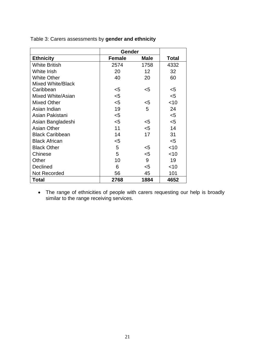|                          | Gender        |             |        |
|--------------------------|---------------|-------------|--------|
| <b>Ethnicity</b>         | <b>Female</b> | <b>Male</b> | Total  |
| <b>White British</b>     | 2574          | 1758        | 4332   |
| White Irish              | 20            | 12          | 32     |
| <b>White Other</b>       | 40            | 20          | 60     |
| <b>Mixed White/Black</b> |               |             |        |
| Caribbean                | $<$ 5         | $<$ 5       | $<$ 5  |
| Mixed White/Asian        | $5$           |             | $<$ 5  |
| <b>Mixed Other</b>       | $5$           | $<$ 5       | $<$ 10 |
| Asian Indian             | 19            | 5           | 24     |
| Asian Pakistani          | $<$ 5         |             | $5$    |
| Asian Bangladeshi        | $<$ 5         | $<$ 5       | $<$ 5  |
| <b>Asian Other</b>       | 11            | $5$         | 14     |
| <b>Black Caribbean</b>   | 14            | 17          | 31     |
| <b>Black African</b>     | $5$           |             | $5$    |
| <b>Black Other</b>       | 5             | $<$ 5       | $<$ 10 |
| Chinese                  | 5             | $5$         | $<$ 10 |
| Other                    | 10            | 9           | 19     |
| Declined                 | 6             | $<$ 5       | $<$ 10 |
| Not Recorded             | 56            | 45          | 101    |
| <b>Total</b>             | 2768          | 1884        | 4652   |

Table 3: Carers assessments by **gender and ethnicity**

• The range of ethnicities of people with carers requesting our help is broadly similar to the range receiving services.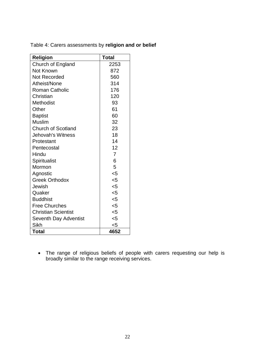| <b>Religion</b>            | Total          |
|----------------------------|----------------|
| Church of England          | 2253           |
| Not Known                  | 872            |
| <b>Not Recorded</b>        | 560            |
| Atheist/None               | 314            |
| <b>Roman Catholic</b>      | 176            |
| Christian                  | 120            |
| <b>Methodist</b>           | 93             |
| Other                      | 61             |
| <b>Baptist</b>             | 60             |
| <b>Muslim</b>              | 32             |
| <b>Church of Scotland</b>  | 23             |
| Jehovah's Witness          | 18             |
| Protestant                 | 14             |
| Pentecostal                | 12             |
| Hindu                      | $\overline{7}$ |
| Spiritualist               | 6              |
| Mormon                     | 5              |
| Agnostic                   | $5$            |
| <b>Greek Orthodox</b>      | $5$            |
| Jewish                     | $5$            |
| Quaker                     | $5$            |
| <b>Buddhist</b>            | $5$            |
| <b>Free Churches</b>       | $5$            |
| <b>Christian Scientist</b> | $5$            |
| Seventh Day Adventist      | $5$            |
| Sikh                       | $5$            |
| <b>Total</b>               | 4652           |

Table 4: Carers assessments by **religion and or belief**

• The range of religious beliefs of people with carers requesting our help is broadly similar to the range receiving services.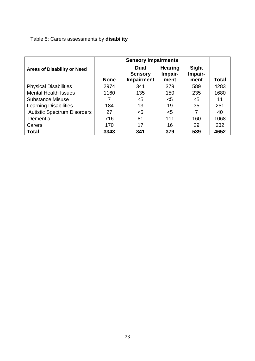# Table 5: Carers assessments by **disability**

|                                    |             | <b>Sensory Impairments</b>                         |                                   |                                 |              |
|------------------------------------|-------------|----------------------------------------------------|-----------------------------------|---------------------------------|--------------|
| <b>Areas of Disability or Need</b> | <b>None</b> | <b>Dual</b><br><b>Sensory</b><br><b>Impairment</b> | <b>Hearing</b><br>Impair-<br>ment | <b>Sight</b><br>Impair-<br>ment | <b>Total</b> |
| <b>Physical Disabilities</b>       | 2974        | 341                                                | 379                               | 589                             | 4283         |
| <b>Mental Health Issues</b>        | 1160        | 135                                                | 150                               | 235                             | 1680         |
| <b>Substance Misuse</b>            |             | $<$ 5                                              | <5                                | $<$ 5                           | 11           |
| <b>Learning Disabilities</b>       | 184         | 13                                                 | 19                                | 35                              | 251          |
| <b>Autistic Spectrum Disorders</b> | 27          | $5$                                                | $5$                               | 7                               | 40           |
| Dementia                           | 716         | 81                                                 | 111                               | 160                             | 1068         |
| Carers                             | 170         | 17                                                 | 16                                | 29                              | 232          |
| <b>Total</b>                       | 3343        | 341                                                | 379                               | 589                             | 4652         |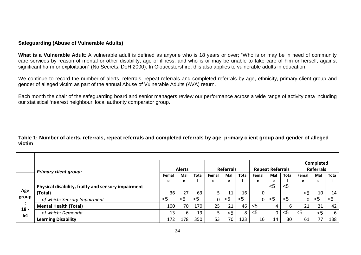#### **Safeguarding (Abuse of Vulnerable Adults)**

**What is a Vulnerable Adult**: A vulnerable adult is defined as anyone who is 18 years or over; "Who is or may be in need of community care services by reason of mental or other disability, age or illness; and who is or may be unable to take care of him or herself, against significant harm or exploitation" (No Secrets, DoH 2000). In Gloucestershire, this also applies to vulnerable adults in education.

We continue to record the number of alerts, referrals, repeat referrals and completed referrals by age, ethnicity, primary client group and gender of alleged victim as part of the annual Abuse of Vulnerable Adults (AVA) return.

Each month the chair of the safeguarding board and senior managers review our performance across a wide range of activity data including our statistical 'nearest neighbour' local authority comparator group.

**Table 1: Number of alerts, referrals, repeat referrals and completed referrals by age, primary client group and gender of alleged victim**

<span id="page-24-0"></span>

|        |                                                     |       | <b>Alerts</b> |      |       | <b>Referrals</b> |             | <b>Repeat Referrals</b> |     |      |       | <b>Completed</b><br><b>Referrals</b> |      |
|--------|-----------------------------------------------------|-------|---------------|------|-------|------------------|-------------|-------------------------|-----|------|-------|--------------------------------------|------|
|        | <b>Primary client group:</b>                        |       |               |      |       |                  |             |                         |     |      |       |                                      |      |
|        |                                                     | Femal | Mal           | Tota | Femal | Mal              | <b>Tota</b> | Femal                   | Mal | Tota | Femal | Mal                                  | Tota |
|        |                                                     | е     | е             |      | е     | e                |             | е                       | е   |      | е     | е                                    |      |
|        | Physical disability, frailty and sensory impairment |       |               |      |       |                  |             |                         | $5$ | $5$  |       |                                      |      |
| Age    | (Total)                                             | 36    | 27            | 63   | 5     | 11               | 16          |                         |     |      | $5$   | 10                                   | 14   |
| group  | of which: Sensory Impairment                        | $5$   | $5$           | $5$  | 0     | < 5              | $5$         | 0                       | <5  | $5$  |       | $5$                                  | $5$  |
| $18 -$ | <b>Mental Health (Total)</b>                        | 100   | 70            | 170  | 25    | 21               | 46          | <5                      |     |      | 21    | 21                                   | 42   |
| 64     | of which: Dementia                                  | 13    | 6             | 19   |       | < 5              | 8           | $<$ 5                   | 0   | <5   | $5$   | $5$                                  | 6    |
|        | <b>Learning Disability</b>                          | 172   | 178           | 350  | 53    | 70               | 123         | 16                      | 14  | 30   | 61    | 77                                   | 138  |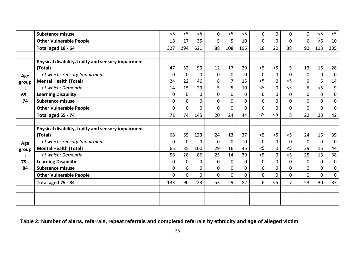|                | <b>Substance misuse</b>                             | 5              | 5              | < 5          | 0              | 5              | 5              | $\overline{0}$ | 0              | $\overline{0}$ | $\mathbf 0$    | < 5            | $<$ 5            |
|----------------|-----------------------------------------------------|----------------|----------------|--------------|----------------|----------------|----------------|----------------|----------------|----------------|----------------|----------------|------------------|
|                | <b>Other Vulnerable People</b>                      | 18             | 17             | 35           | 5              | 5              | 10             | $\mathbf{0}$   | 0              | $\Omega$       | 6              | $<$ 5          | 10               |
|                | Total aged 18 - 64                                  | 327            | 294            | 621          | 88             | 108            | 196            | 18             | 20             | 38             | 92             | 113            | 205              |
|                |                                                     |                |                |              |                |                |                |                |                |                |                |                |                  |
|                | Physical disability, frailty and sensory impairment |                |                |              |                |                |                |                |                |                |                |                |                  |
|                | (Total)                                             | 47             | 52             | 99           | 12             | 17             | 29             | $<$ 5          | < 5            | 5              | 13             | 15             | 28               |
| Age            | of which: Sensory Impairment                        | $\mathbf{0}$   | $\mathbf{0}$   | $\Omega$     | $\mathbf{0}$   | $\mathbf 0$    | $\Omega$       | $\mathbf{0}$   | 0              | $\mathbf 0$    | $\mathbf 0$    | $\mathbf 0$    | $\mathbf 0$      |
| group          | <b>Mental Health (Total)</b>                        | 24             | 22             | 46           | 8              | $\overline{7}$ | 15             | 5<             | 0              | 5              | 9              | 5              | 14               |
|                | of which: Dementia                                  | 14             | 15             | 29           | 5              | 5              | 10             | 5              | $\mathbf 0$    | < 5            | 6              | 5              | $\boldsymbol{9}$ |
| $65 -$         | <b>Learning Disability</b>                          | $\mathbf 0$    | 0              | 0            | $\overline{0}$ | $\mathbf 0$    | $\Omega$       | $\mathbf{0}$   | 0              | $\overline{0}$ | $\mathbf 0$    | $\mathbf{0}$   | $\mathbf{0}$     |
| 74             | <b>Substance misuse</b>                             | 0              | $\mathbf 0$    | 0            | 0              | $\mathbf 0$    | 0              | 0              | 0              | 0              | $\mathbf 0$    | 0              | $\mathbf 0$      |
|                | <b>Other Vulnerable People</b>                      | 0              | $\Omega$       | $\Omega$     | $\overline{0}$ | $\Omega$       | 0              | $\overline{0}$ | 0              | $\Omega$       | $\overline{0}$ | $\Omega$       | $\mathbf 0$      |
|                | Total aged 65 - 74                                  | 71             | 74             | 145          | 20             | 24             | 44             | < 5            | < 5            | 8              | 22             | 20             | 42               |
|                |                                                     |                |                |              |                |                |                |                |                |                |                |                |                  |
|                | Physical disability, frailty and sensory impairment |                |                |              |                |                |                |                |                |                |                |                |                  |
|                | (Total)                                             | 68             | 55             | 123          | 24             | 13             | 37             | $<$ 5          | $<$ 5          | $<$ 5          | 24             | 15             | 39               |
| Age            | of which: Sensory Impairment                        | 0              | $\mathbf 0$    | $\mathbf{0}$ | $\overline{0}$ | $\mathbf{0}$   | $\Omega$       | $\mathbf{0}$   | $\overline{0}$ | $\overline{0}$ | $\overline{0}$ | $\overline{0}$ | $\mathbf 0$      |
| group          | <b>Mental Health (Total)</b>                        | 65             | 35             | 100          | 29             | 16             | 45             | 5              | 0              | < 5            | 29             | 15             | 44               |
| $\ddot{\cdot}$ | of which: Dementia                                  | 58             | 28             | 86           | 25             | 14             | 39             | 5<             | 0              | 5              | 25             | 13             | 38               |
| $75 -$         | <b>Learning Disability</b>                          | $\mathbf 0$    | $\mathbf 0$    | $\Omega$     | $\overline{0}$ | $\mathbf{0}$   | $\mathbf 0$    | $\mathbf{0}$   | 0              | $\mathbf 0$    | $\mathbf 0$    | $\mathbf 0$    | $\mathbf 0$      |
| 84             | <b>Substance misuse</b>                             | 0              | $\Omega$       | $\Omega$     | $\overline{0}$ | $\Omega$       | $\Omega$       | $\Omega$       | $\overline{0}$ | $\Omega$       | $\overline{0}$ | $\Omega$       | $\overline{0}$   |
|                | <b>Other Vulnerable People</b>                      | $\overline{0}$ | $\overline{0}$ | $\mathbf{0}$ | $\overline{0}$ | $\mathbf{0}$   | $\overline{0}$ | $\overline{0}$ | 0              | $\mathbf 0$    | $\mathbf 0$    | $\overline{0}$ | $\mathbf 0$      |
|                | Total aged 75 - 84                                  | 133            | 90             | 223          | 53             | 29             | 82             | 6              | 5<             | $\overline{7}$ | 53             | 30             | 83               |
|                |                                                     |                |                |              |                |                |                |                |                |                |                |                |                  |
|                |                                                     |                |                |              |                |                |                |                |                |                |                |                |                  |
|                |                                                     |                |                |              |                |                |                |                |                |                |                |                |                  |

**Table 2: Number of alerts, referrals, repeat referrals and completed referrals by ethnicity and age of alleged victim**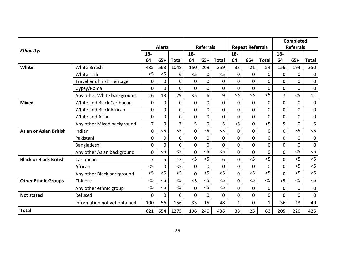|                               |                              |                |              |                  |                 |              |                |                         |                | <b>Completed</b> |                |                |              |
|-------------------------------|------------------------------|----------------|--------------|------------------|-----------------|--------------|----------------|-------------------------|----------------|------------------|----------------|----------------|--------------|
| Ethnicity:                    |                              | <b>Alerts</b>  |              | <b>Referrals</b> |                 |              |                | <b>Repeat Referrals</b> |                | <b>Referrals</b> |                |                |              |
|                               |                              |                |              |                  | $18-$           |              |                | $18-$                   |                |                  | $18 -$         |                |              |
|                               |                              | 64             | $65+$        | <b>Total</b>     | 64              | $65+$        | <b>Total</b>   | 64                      | $65+$          | <b>Total</b>     | 64             | $65+$          | <b>Total</b> |
| White                         | <b>White British</b>         | 485            | 563          | 1048             | 150             | 209          | 359            | 33                      | 21             | 54               | 156            | 194            | 350          |
|                               | White Irish                  | $<$ 5          | $<$ 5        | 6                | 5               | $\mathbf{0}$ | 5              | $\overline{0}$          | $\overline{0}$ | $\overline{0}$   | $\mathbf 0$    | $\Omega$       | $\mathbf 0$  |
|                               | Traveller of Irish Heritage  | $\mathbf 0$    | 0            | $\mathbf 0$      | $\mathbf 0$     | $\mathbf{0}$ | 0              | 0                       | 0              | $\mathbf 0$      | $\mathbf 0$    | $\mathbf 0$    | $\mathbf 0$  |
|                               | Gypsy/Roma                   | $\mathbf 0$    | $\Omega$     | $\overline{0}$   | $\overline{0}$  | 0            | $\overline{0}$ | 0                       | 0              | $\overline{0}$   | $\overline{0}$ | $\Omega$       | $\mathbf{0}$ |
|                               | Any other White background   | 16             | 13           | 29               | 5               | 6            | 9              | 5                       | 5              | 5                | $\overline{7}$ | 5              | 11           |
| <b>Mixed</b>                  | White and Black Caribbean    | $\mathbf 0$    | $\mathbf{0}$ | $\overline{0}$   | $\mathbf 0$     | 0            | 0              | 0                       | 0              | $\mathbf 0$      | $\overline{0}$ | $\mathbf 0$    | $\mathbf 0$  |
|                               | White and Black African      | $\overline{0}$ | 0            | $\overline{0}$   | $\mathbf 0$     | 0            | $\Omega$       | 0                       | 0              | $\mathbf 0$      | $\overline{0}$ | $\mathbf 0$    | $\mathbf 0$  |
|                               | White and Asian              | $\mathbf 0$    | $\mathbf{0}$ | $\mathbf 0$      | 0               | 0            | 0              | 0                       | 0              | $\mathbf 0$      | $\mathbf 0$    | $\mathbf 0$    | $\pmb{0}$    |
|                               | Any other Mixed background   | $\overline{7}$ | $\mathbf 0$  | $\overline{7}$   | $5\overline{)}$ | 0            | 5              | 5                       | $\overline{0}$ | 5                | 5              | $\mathbf 0$    | 5            |
| <b>Asian or Asian British</b> | Indian                       | $\overline{0}$ | 5<           | 5                | 0               | 5            | 5              | $\overline{0}$          | $\overline{0}$ | $\overline{0}$   | $\overline{0}$ | 5              | 5<           |
|                               | Pakistani                    | 0              | $\mathbf{0}$ | $\overline{0}$   | 0               | 0            | $\mathbf 0$    | 0                       | 0              | $\mathbf 0$      | $\overline{0}$ | $\mathbf 0$    | $\mathbf 0$  |
|                               | Bangladeshi                  | $\mathbf{0}$   | $\mathbf 0$  | $\overline{0}$   | 0               | 0            | $\Omega$       | $\overline{0}$          | $\overline{0}$ | $\Omega$         | $\overline{0}$ | $\mathbf 0$    | $\mathbf 0$  |
|                               | Any other Asian background   | $\overline{0}$ | $<$ 5        | 5                | $\overline{0}$  | $<$ 5        | $<$ 5          | 0                       | 0              | $\mathbf 0$      | $\overline{0}$ | 5              | < 5          |
| <b>Black or Black British</b> | Caribbean                    | 7              | 5            | 12               | 5               | < 5          | 6              | $\overline{0}$          | 5              | 5                | $\Omega$       | < 5            | < 5          |
|                               | African                      | $<$ 5          | $\mathbf 0$  | 5                | 0               | 0            | $\Omega$       | 0                       | 0              | $\mathbf 0$      | $\overline{0}$ | < 5            | < 5          |
|                               | Any other Black background   | $<$ 5          | 5<           | 5                | $\overline{0}$  | 5            | 5              | $\overline{0}$          | 5              | 5                | $\overline{0}$ | 5              | 5<           |
| <b>Other Ethnic Groups</b>    | Chinese                      | $<$ 5          | < 5          | 5                | 5               | $<$ 5        | < 5            | 0                       | 5              | < 5              | 5              | < 5            | 5<           |
|                               | Any other ethnic group       | $<$ 5          | 5            | 5                | $\overline{0}$  | < 5          | < 5            | $\overline{0}$          | 0              | $\mathbf 0$      | $\overline{0}$ | $\Omega$       | $\mathbf 0$  |
| <b>Not stated</b>             | Refused                      | $\overline{0}$ | $\mathbf 0$  | $\overline{0}$   | $\overline{0}$  | $\mathbf{0}$ | 0              | $\overline{0}$          | $\overline{0}$ | $\overline{0}$   | $\overline{0}$ | $\overline{0}$ | $\mathbf{0}$ |
|                               | Information not yet obtained | 100            | 56           | 156              | 33              | 15           | 48             | $\mathbf{1}$            | 0              | $\mathbf{1}$     | 36             | 13             | 49           |
| <b>Total</b>                  |                              | 621            | 654          | 1275             | 196             | 240          | 436            | 38                      | 25             | 63<br>205        |                | 220            | 425          |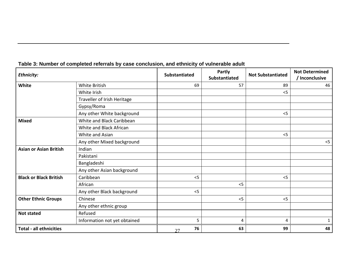| Ethnicity:                     |                              | <b>Substantiated</b> | <b>Partly</b><br><b>Substantiated</b> | <b>Not Substantiated</b> | <b>Not Determined</b><br>/ Inconclusive |
|--------------------------------|------------------------------|----------------------|---------------------------------------|--------------------------|-----------------------------------------|
| White                          | White British                | 69                   | 57                                    | 89                       | 46                                      |
|                                | White Irish                  |                      |                                       | $<$ 5                    |                                         |
|                                | Traveller of Irish Heritage  |                      |                                       |                          |                                         |
|                                | Gypsy/Roma                   |                      |                                       |                          |                                         |
|                                | Any other White background   |                      |                                       | < 5                      |                                         |
| <b>Mixed</b>                   | White and Black Caribbean    |                      |                                       |                          |                                         |
|                                | White and Black African      |                      |                                       |                          |                                         |
|                                | White and Asian              |                      |                                       | < 5                      |                                         |
|                                | Any other Mixed background   |                      |                                       |                          | $<$ 5                                   |
| <b>Asian or Asian British</b>  | Indian                       |                      |                                       |                          |                                         |
|                                | Pakistani                    |                      |                                       |                          |                                         |
|                                | Bangladeshi                  |                      |                                       |                          |                                         |
|                                | Any other Asian background   |                      |                                       |                          |                                         |
| <b>Black or Black British</b>  | Caribbean                    | < 5                  |                                       | $<$ 5                    |                                         |
|                                | African                      |                      | < 5                                   |                          |                                         |
|                                | Any other Black background   | $<$ 5                |                                       |                          |                                         |
| <b>Other Ethnic Groups</b>     | Chinese                      |                      | < 5                                   | < 5                      |                                         |
|                                | Any other ethnic group       |                      |                                       |                          |                                         |
| <b>Not stated</b>              | Refused                      |                      |                                       |                          |                                         |
|                                | Information not yet obtained | 5                    | 4                                     | 4                        |                                         |
| <b>Total - all ethnicities</b> |                              | 76<br>27             | 63                                    | 99                       | 48                                      |

# **Table 3: Number of completed referrals by case conclusion, and ethnicity of vulnerable adult**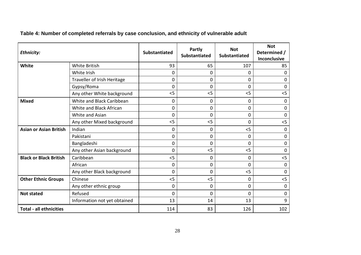| <b>Ethnicity:</b>              |                              | <b>Substantiated</b> | Partly<br>Substantiated | <b>Not</b><br>Substantiated | <b>Not</b><br>Determined /<br>Inconclusive |
|--------------------------------|------------------------------|----------------------|-------------------------|-----------------------------|--------------------------------------------|
| White                          | <b>White British</b>         | 93                   | 65                      | 107                         | 85                                         |
|                                | White Irish                  | 0                    | 0                       | $\Omega$                    | 0                                          |
|                                | Traveller of Irish Heritage  | 0                    | 0                       | $\Omega$                    | 0                                          |
|                                | Gypsy/Roma                   | 0                    | 0                       | 0                           | 0                                          |
|                                | Any other White background   | $<$ 5                | < 5                     | < 5                         | $<$ 5                                      |
| <b>Mixed</b>                   | White and Black Caribbean    | 0                    | 0                       | 0                           | $\mathbf 0$                                |
|                                | White and Black African      | 0                    | $\Omega$                | $\mathbf 0$                 | $\mathbf 0$                                |
|                                | White and Asian              | 0                    | 0                       | 0                           | $\mathbf 0$                                |
|                                | Any other Mixed background   | $<$ 5                | 5                       | 0                           | < 5                                        |
| <b>Asian or Asian British</b>  | Indian                       | $\mathbf 0$          | 0                       | < 5                         | $\mathbf 0$                                |
|                                | Pakistani                    | $\overline{0}$       | 0                       | 0                           | $\mathbf{0}$                               |
|                                | Bangladeshi                  | 0                    | 0                       | $\Omega$                    | $\mathbf 0$                                |
|                                | Any other Asian background   | $\overline{0}$       | < 5                     | $<$ 5                       | $\mathbf{0}$                               |
| <b>Black or Black British</b>  | Caribbean                    | $<$ 5                | 0                       | 0                           | $<$ 5                                      |
|                                | African                      | 0                    | 0                       | 0                           | $\mathbf 0$                                |
|                                | Any other Black background   | 0                    | 0                       | 5                           | $\mathbf 0$                                |
| <b>Other Ethnic Groups</b>     | Chinese                      | 5                    | 5                       | 0                           | $<$ 5                                      |
|                                | Any other ethnic group       | 0                    | 0                       | 0                           | $\mathbf{0}$                               |
| <b>Not stated</b>              | Refused                      | 0                    | 0                       | $\Omega$                    | $\mathbf 0$                                |
|                                | Information not yet obtained | 13                   | 14                      | 13                          | 9                                          |
| <b>Total - all ethnicities</b> |                              | 114                  | 83                      | 126                         | 102                                        |

**Table 4: Number of completed referrals by case conclusion, and ethnicity of vulnerable adult**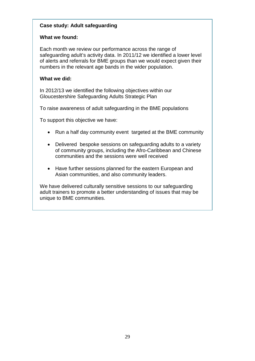# **Case study: Adult safeguarding**

# **What we found:**

Each month we review our performance across the range of safeguarding adult's activity data. In 2011/12 we identified a lower level of alerts and referrals for BME groups than we would expect given their numbers in the relevant age bands in the wider population.

#### **What we did:**

In 2012/13 we identified the following objectives within our Gloucestershire Safeguarding Adults Strategic Plan

To raise awareness of adult safeguarding in the BME populations

To support this objective we have:

- Run a half day community event targeted at the BME community
- Delivered bespoke sessions on safeguarding adults to a variety of community groups, including the Afro-Caribbean and Chinese communities and the sessions were well received
- Have further sessions planned for the eastern European and Asian communities, and also community leaders.

We have delivered culturally sensitive sessions to our safeguarding adult trainers to promote a better understanding of issues that may be unique to BME communities.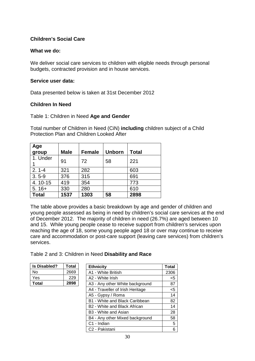# <span id="page-30-0"></span>**Children's Social Care**

#### **What we do:**

We deliver social care services to children with eligible needs through personal budgets, contracted provision and in house services.

#### **Service user data:**

Data presented below is taken at 31st December 2012

#### **Children In Need**

#### Table 1: Children in Need **Age and Gender**

Total number of Children in Need (CiN) **including** children subject of a Child Protection Plan and Children Looked After

| Age<br>group | <b>Male</b> | <b>Female</b> | <b>Unborn</b> | <b>Total</b> |
|--------------|-------------|---------------|---------------|--------------|
| 1. Under     | 91          | 72            | 58            | 221          |
| $2.1 - 4$    | 321         | 282           |               | 603          |
| $3.5 - 9$    | 376         | 315           |               | 691          |
| 4.10-15      | 419         | 354           |               | 773          |
| $5.16+$      | 330         | 280           |               | 610          |
| <b>Total</b> | 1537        | 1303          | 58            | 2898         |

The table above provides a basic breakdown by age and gender of children and young people assessed as being in need by children's social care services at the end of December 2012. The majority of children in need (26.7%) are aged between 10 and 15. While young people cease to receive support from children's services upon reaching the age of 18, some young people aged 18 or over may continue to receive care and accommodation or post-care support (leaving care services) from children's services.

Table 2 and 3: Children in Need **Disability and Race**

| <b>Is Disabled?</b> | <b>Total</b> |
|---------------------|--------------|
| N٥                  | 2669         |
| Yes                 | 229          |
| Total               | 2898         |

| <b>Ethnicity</b>                         | Total |
|------------------------------------------|-------|
| A1 - White British                       | 2306  |
| A2 - White Irish                         | $<$ 5 |
| A3 - Any other White background          | 87    |
| A4 - Traveller of Irish Heritage         | <5    |
| A5 - Gypsy / Roma                        | 14    |
| B1 - White and Black Caribbean           | 82    |
| B <sub>2</sub> - White and Black African | 14    |
| B <sub>3</sub> - White and Asian         | 28    |
| B4 - Any other Mixed background          | 58    |
| C1 - Indian                              | 5     |
| C <sub>2</sub> - Pakistani               | 6     |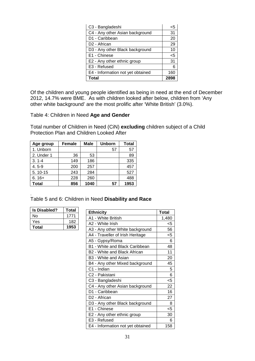| C3 - Bangladeshi                  | <5   |
|-----------------------------------|------|
| C4 - Any other Asian background   | 31   |
| D1 - Caribbean                    | 20   |
| D <sub>2</sub> - African          | 29   |
| D3 - Any other Black background   | 10   |
| E1 - Chinese                      | $5$  |
| E2 - Any other ethnic group       | 31   |
| E3 - Refused                      | 6    |
| E4 - Information not yet obtained | 160  |
| Total                             | 2898 |

Of the children and young people identified as being in need at the end of December 2012, 14.7% were BME. As with children looked after below, children from 'Any other white background' are the most prolific after 'White British' (3.0%).

Table 4: Children in Need **Age and Gender**

Total number of Children in Need (CiN) **excluding** children subject of a Child Protection Plan and Children Looked After

| Age group  | <b>Female</b> | <b>Male</b> | <b>Unborn</b> | <b>Total</b> |
|------------|---------------|-------------|---------------|--------------|
| 1. Unborn  |               |             | 57            | 57           |
| 2. Under 1 | 36            | 53          |               | 89           |
| $3.1 - 4$  | 149           | 186         |               | 335          |
| $4.5 - 9$  | 200           | 257         |               | 457          |
| 5.10-15    | 243           | 284         |               | 527          |
| $6.16+$    | 228           | 260         |               | 488          |
| Total      | 856           | 1040        | 57            | 1953         |

. Table 5 and 6: Children in Need **Disability and Race**

| <b>Is Disabled?</b> | Total |
|---------------------|-------|
| N٥                  | 1771  |
| Yes                 | 182   |
| Total               | 1953  |

| <b>Ethnicity</b>                  | Total |
|-----------------------------------|-------|
| A1 - White British                | 1,480 |
| A2 - White Irish                  | <5    |
| A3 - Any other White background   | 56    |
| A4 - Traveller of Irish Heritage  | <5    |
| A5 - Gypsy/Roma                   | 6     |
| B1 - White and Black Caribbean    | 48    |
| B2 - White and Black African      | 11    |
| B <sub>3</sub> - White and Asian  | 20    |
| B4 - Any other Mixed background   | 45    |
| C1 - Indian                       | 5     |
| C2 - Pakistani                    | 6     |
| C3 - Bangladeshi                  | $5$   |
| C4 - Any other Asian background   | 22    |
| D1 - Caribbean                    | 16    |
| D <sub>2</sub> - African          | 27    |
| D3 - Any other Black background   | 8     |
| E1 - Chinese                      | $5$   |
| E2 - Any other ethnic group       | 30    |
| E3 - Refused                      | 6     |
| E4 - Information not yet obtained | 158   |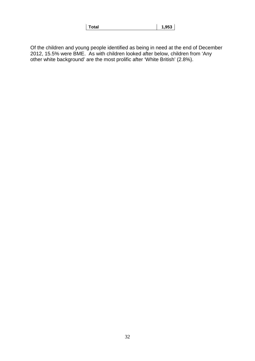Of the children and young people identified as being in need at the end of December 2012, 15.5% were BME. As with children looked after below, children from 'Any other white background' are the most prolific after 'White British' (2.8%).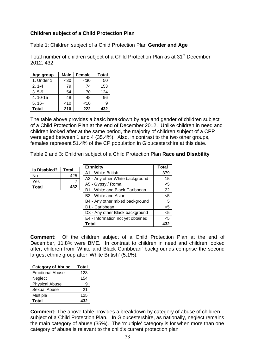# **Children subject of a Child Protection Plan**

Table 1: Children subject of a Child Protection Plan **Gender and Age**

Total number of children subject of a Child Protection Plan as at 31<sup>st</sup> December 2012: 432

| Age group  | Male   | <b>Female</b> | <b>Total</b> |
|------------|--------|---------------|--------------|
| 1. Under 1 | $30$   | $30$          | 50           |
| $2.1 - 4$  | 79     | 74            | 153          |
| $3.5 - 9$  | 54     | 70            | 124          |
| 4.10-15    | 48     | 48            | 96           |
| $5.16+$    | $<$ 10 | $<$ 10        | 9            |
| Total      | 210    | 222           | 432          |

The table above provides a basic breakdown by age and gender of children subject of a Child Protection Plan at the end of December 2012. Unlike children in need and children looked after at the same period, the majority of children subject of a CPP were aged between 1 and 4 (35.4%). Also, in contrast to the two other groups, females represent 51.4% of the CP population in Gloucestershire at this date.

Table 2 and 3: Children subject of a Child Protection Plan **Race and Disability**

| <b>Is Disabled?</b> | Total |
|---------------------|-------|
| N٥                  | 425   |
| Yes                 |       |
| Total               | 432   |

| <b>Ethnicity</b>                  | <b>Total</b> |
|-----------------------------------|--------------|
| A1 - White British                | 379          |
| A3 - Any other White background   | 15           |
| A5 - Gypsy / Roma                 | $<$ 5        |
| B1 - White and Black Caribbean    | 22           |
| B <sub>3</sub> - White and Asian  | $<$ 5        |
| B4 - Any other mixed background   | 5            |
| D1 - Caribbean                    | $<$ 5        |
| D3 - Any other Black background   | $<$ 5        |
| E4 - Information not yet obtained | < 5          |
| Total                             |              |

**Comment:** Of the children subject of a Child Protection Plan at the end of December, 11.8% were BME. In contrast to children in need and children looked after, children from 'White and Black Caribbean' backgrounds comprise the second largest ethnic group after 'White British' (5.1%).

| <b>Category of Abuse</b> | <b>Total</b> |
|--------------------------|--------------|
| <b>Emotional Abuse</b>   | 123          |
| Neglect                  | 154          |
| <b>Physical Abuse</b>    | 9            |
| Sexual Abuse             | 21           |
| Multiple                 | 125          |
| Total                    | 432          |

**Comment:** The above table provides a breakdown by category of abuse of children subject of a Child Protection Plan. In Gloucestershire, as nationally, neglect remains the main category of abuse (35%). The 'multiple' category is for when more than one category of abuse is relevant to the child's current protection plan.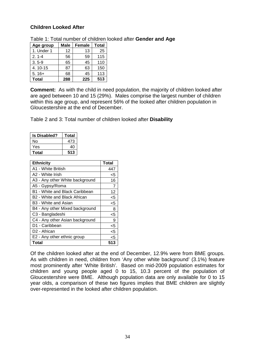# **Children Looked After**

| Table 1: Total number of children looked after Gender and Age |  |
|---------------------------------------------------------------|--|
|---------------------------------------------------------------|--|

| Age group    | Male | <b>Female</b> | <b>Total</b> |  |
|--------------|------|---------------|--------------|--|
| 1. Under 1   | 12   | 13            | 25           |  |
| $2.1 - 4$    | 56   | 59            | 115          |  |
| $3.5 - 9$    | 65   | 45            | 110          |  |
| 4.10-15      | 87   | 63            | 150          |  |
| $5.16+$      | 68   | 45            | 113          |  |
| <b>Total</b> | 288  | 225           | 513          |  |

**Comment:** As with the child in need population, the majority of children looked after are aged between 10 and 15 (29%). Males comprise the largest number of children within this age group, and represent 56% of the looked after children population in Gloucestershire at the end of December.

Table 2 and 3: Total number of children looked after **Disability**

| <b>Is Disabled?</b> | Total |
|---------------------|-------|
| N٥                  | 473   |
| Yes                 | 40    |
| Total               | 513   |

| <b>Ethnicity</b>                 | <b>Total</b> |
|----------------------------------|--------------|
| A1 - White British               | 447          |
| A2 - White Irish                 | $<$ 5        |
| A3 - Any other White background  | 16           |
| A5 - Gypsy/Roma                  | 7            |
| B1 - White and Black Caribbean   | 12           |
| B2 - White and Black African     | $5$          |
| B <sub>3</sub> - White and Asian | $5 - 5$      |
| B4 - Any other Mixed background  | 8            |
| C <sub>3</sub> - Bangladeshi     | $<$ 5        |
| C4 - Any other Asian background  | 9            |
| D1 - Caribbean                   | $5$          |
| D <sub>2</sub> - African         | $5$          |
| E2 - Any other ethnic group      | $5$          |
| <b>Total</b>                     | 513          |

Of the children looked after at the end of December, 12.9% were from BME groups. As with children in need, children from 'Any other white background' (3.1%) feature most prominently after 'White British'. Based on mid-2009 population estimates for children and young people aged 0 to 15, 10.3 percent of the population of Gloucestershire were BME. Although population data are only available for 0 to 15 year olds, a comparison of these two figures implies that BME children are slightly over-represented in the looked after children population.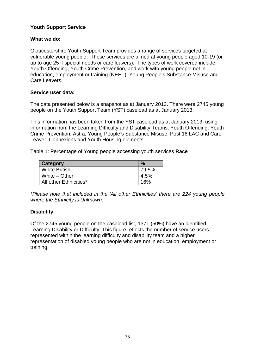# <span id="page-35-0"></span>**Youth Support Service**

## **What we do:**

Gloucestershire Youth Support Team provides a range of services targeted at vulnerable young people. These services are aimed at young people aged 10-19 (or up to age 25 if special needs or care leavers). The types of work covered include: Youth Offending, Youth Crime Prevention, and work with young people not in education, employment or training (NEET), Young People's Substance Misuse and Care Leavers.

#### **Service user data:**

The data presented below is a snapshot as at January 2013. There were 2745 young people on the Youth Support Team (YST) caseload as at January 2013.

This information has been taken from the YST caseload as at January 2013, using information from the Learning Difficulty and Disability Teams, Youth Offending, Youth Crime Prevention, Astra, Young People's Substance Misuse, Post 16 LAC and Care Leaver, Connexions and Youth Housing elements.

Table 1: Percentage of Young people accessing youth services **Race**

| Category               | $\frac{1}{2}$ |
|------------------------|---------------|
| <b>White British</b>   | 79.5%         |
| White $-$ Other        | 4.5%          |
| All other Ethnicities* | 16%           |

*\*Please note that included in the 'All other Ethnicities' there are 224 young people where the Ethnicity is Unknown.*

# **Disability**

Of the 2745 young people on the caseload list, 1371 (50%) have an identified Learning Disability or Difficulty. This figure reflects the number of service users represented within the learning difficulty and disability team and a higher representation of disabled young people who are not in education, employment or training.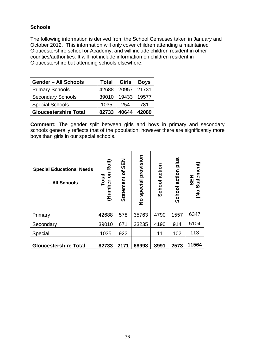# <span id="page-36-0"></span>**Schools**

The following information is derived from the School Censuses taken in January and October 2012. This information will only cover children attending a maintained Gloucestershire school or Academy, and will include children resident in other counties/authorities. It will not include information on children resident in Gloucestershire but attending schools elsewhere.

| <b>Gender - All Schools</b>  | <b>Total</b> | <b>Girls</b> | <b>Boys</b> |
|------------------------------|--------------|--------------|-------------|
| <b>Primary Schools</b>       | 42688        | 20957        | 21731       |
| <b>Secondary Schools</b>     | 39010        | 19433        | 19577       |
| <b>Special Schools</b>       | 1035         | 254          | 781         |
| <b>Gloucestershire Total</b> | 82733        | 40644        | 42089       |

**Comment:** The gender split between girls and boys in primary and secondary schools generally reflects that of the population; however there are significantly more boys than girls in our special schools.

| <b>Special Educational Needs</b><br>- All Schools | Roll)<br>5<br>Total<br>(Number | <b>NES</b><br>Ⴆ<br><b>Statement</b> | provision<br>special<br>$\frac{1}{2}$ | action<br>School | plus<br>action<br>School | (No Statement)<br><b>SEN</b> |
|---------------------------------------------------|--------------------------------|-------------------------------------|---------------------------------------|------------------|--------------------------|------------------------------|
| Primary                                           | 42688                          | 578                                 | 35763                                 | 4790             | 1557                     | 6347                         |
| Secondary                                         | 39010                          | 671                                 | 33235                                 | 4190             | 914                      | 5104                         |
| Special                                           | 1035                           | 922                                 |                                       | 11               | 102                      | 113                          |
| <b>Gloucestershire Total</b>                      | 82733                          | 2171                                | 68998                                 | 8991             | 2573                     | 11564                        |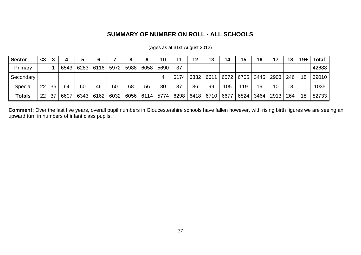# **SUMMARY OF NUMBER ON ROLL - ALL SCHOOLS**

| <b>Sector</b> | $<$ 3           |    |      |                    |      |      | 8    | 9                                       | 10   |           | 12 |      | 14   | 15   | 16   | 17   | 18  | 19+ | <b>Total</b> |
|---------------|-----------------|----|------|--------------------|------|------|------|-----------------------------------------|------|-----------|----|------|------|------|------|------|-----|-----|--------------|
| Primary       |                 |    | 6543 | 6283   6116   5972 |      |      | 5988 | 6058                                    | 5690 | 37        |    |      |      |      |      |      |     |     | 42688        |
| Secondary     |                 |    |      |                    |      |      |      |                                         |      | 6174 6332 |    | 6611 | 6572 | 6705 | 3445 | 2903 | 246 | 18  | 39010        |
| Special       | 22 <sub>1</sub> | 36 | 64   | 60                 | 46   | 60   | 68   | 56                                      | 80   | 87        | 86 | 99   | 105  | 119  | 19   | 10   | 18  |     | 1035         |
| <b>Totals</b> | 22 <sub>1</sub> | 37 | 6607 | 6343               | 6162 | 6032 | 6056 | 6114   5774   6298   6418   6710   6677 |      |           |    |      |      | 6824 | 3464 | 2913 | 264 | 18  | 82733        |

(Ages as at 31st August 2012)

**Comment:** Over the last five years, overall pupil numbers in Gloucestershire schools have fallen however, with rising birth figures we are seeing an upward turn in numbers of infant class pupils.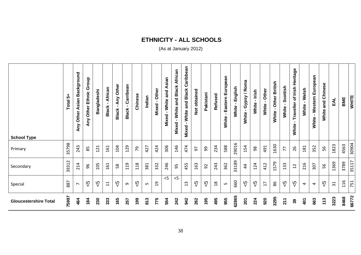# **ETHNICITY - ALL SCHOOLS**

( As at January 2012)

| <b>School Type</b>           | 4<br>Total | Asian Background<br>Other<br>Any | Any Other Ethnic Group | Bangladeshi | Black - African | Any Other<br>$\mathbf{L}$<br>Black | Carribean<br>$\blacksquare$<br><b>Black</b> | Chinese | Indian | Other<br>$\blacksquare$<br>Mixed | Mixed - White and Asian | White and Black African<br>Mixed - | White and Black Caribbean<br>$\mathbf{L}$<br>Mixed | Not obtained | Pakistani | Refused        | Eastern European<br>White | English<br>$\blacksquare$<br>White | / Roma<br>Gypsy<br>$\blacksquare$<br><b>White</b> | White - Irish | White - Other   | White - Other British | Scottish<br>White - | Heritage<br>Traveller of Irish<br>$\mathbf{I}$<br>White | Welsh<br>$\mathbf{r}$<br>White | Western European<br>$\mathbf{r}$<br>White | and Chinese<br>White | EAL             | BME  | <b>WHITE</b> |
|------------------------------|------------|----------------------------------|------------------------|-------------|-----------------|------------------------------------|---------------------------------------------|---------|--------|----------------------------------|-------------------------|------------------------------------|----------------------------------------------------|--------------|-----------|----------------|---------------------------|------------------------------------|---------------------------------------------------|---------------|-----------------|-----------------------|---------------------|---------------------------------------------------------|--------------------------------|-------------------------------------------|----------------------|-----------------|------|--------------|
| Primary                      | 35798      | 243                              | 85                     | 121         | 161             | 104                                | 129                                         | 79      | 427    | 424                              | 306                     | 146                                | 474                                                | 50           | 99        | 234            | 588                       | 29016                              | 154                                               | 98            | 491             | 1630                  | 77                  | 26                                                      | 181                            | 352                                       | 56                   | 1823            | 4563 | 30904        |
| Secondary                    | 39312      | 214                              | 96                     | 105         | 161             | 58                                 | 119                                         | 118     | 381    | 332                              | 246                     | 95                                 | 455                                                | 163          | 92        | 243            | 362                       | 33189                              | $\overline{4}$                                    | 124           | 412             | 1579                  | 133                 | 12                                                      | 216                            | 307                                       | 56                   | 1369            | 3789 | 35117        |
| Special                      | 887        | $\overline{ }$                   | က<br>V                 | ပ္ပ         | $\overline{11}$ | က<br>V                             | G                                           | က<br>V  | Ln     | $\overline{c}$                   | $<$ 5                   | $<$ 5                              | $\mathsf{c}$<br>$\overline{\phantom{0}}$           | ს<br>ა       | ςp        | $\frac{8}{18}$ | LO.                       | 660                                | $\sqrt{5}$                                        | ζP            | $\overline{17}$ | 86                    | $\sqrt{5}$          | ს<br>V                                                  | 4                              | $\overline{4}$                            | ს<br>ა               | $\overline{31}$ | 116  | 751          |
| <b>Gloucestershire Total</b> | 75997      | 464                              | 184                    | 230         | 333             | 165                                | 257                                         | 199     | 813    | 775                              | 554                     | 242                                | 942                                                | 262          | 195       | 495            | 955                       | 62865                              | 201                                               | 224           | 920             | 3295                  | 211                 | 39                                                      | 401                            | 663                                       | 113                  | 3223            | 8468 | 66772        |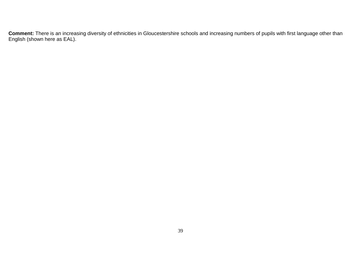**Comment:** There is an increasing diversity of ethnicities in Gloucestershire schools and increasing numbers of pupils with first language other than English (shown here as EAL).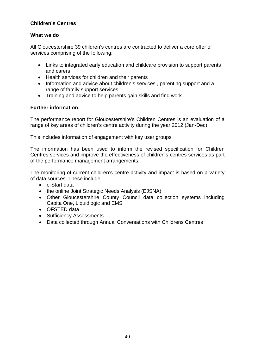# <span id="page-40-0"></span>**Children's Centres**

#### **What we do**

All Gloucestershire 39 children's centres are contracted to deliver a core offer of services comprising of the following:

- Links to integrated early education and childcare provision to support parents and carers
- Health services for children and their parents
- Information and advice about children's services , parenting support and a range of family support services
- Training and advice to help parents gain skills and find work

# **Further information:**

The performance report for Gloucestershire's Children Centres is an evaluation of a range of key areas of children's centre activity during the year 2012 (Jan-Dec).

This includes information of engagement with key user groups

The information has been used to inform the revised specification for Children Centres services and improve the effectiveness of children's centres services as part of the performance management arrangements.

The monitoring of current children's centre activity and impact is based on a variety of data sources. These include:

- e-Start data
- the online Joint Strategic Needs Analysis (EJSNA)
- Other Gloucestershire County Council data collection systems including Capita One, Liquidlogic and EMS
- OFSTED data
- Sufficiency Assessments
- Data collected through Annual Conversations with Childrens Centres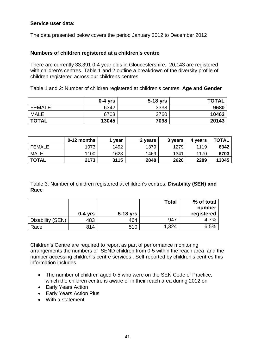#### **Service user data:**

The data presented below covers the period January 2012 to December 2012

#### **Numbers of children registered at a children's centre**

There are currently 33,391 0-4 year olds in Gloucestershire, 20,143 are registered with children's centres. Table 1 and 2 outline a breakdown of the diversity profile of children registered across our childrens centres

Table 1 and 2: Number of children registered at children's centres: **Age and Gender**

|               | $0-4$ yrs | 5-18 yrs | <b>TOTAL</b> |
|---------------|-----------|----------|--------------|
| <b>FEMALE</b> | 6342      | 3338     | 9680         |
| <b>MALE</b>   | 6703      | 3760     | 10463        |
| <b>TOTAL</b>  | 13045     | 7098     | 20143        |

|               | 0-12 months | vear | 2 years | 3 years | 4 vears | <b>TOTAL</b> |
|---------------|-------------|------|---------|---------|---------|--------------|
| <b>FEMALE</b> | 1073        | 1492 | 1379    | 1279    | 1119    | 6342         |
| <b>MALE</b>   | 1100        | 1623 | 1469    | 1341    | 1170    | 6703         |
| <b>TOTAL</b>  | 2173        | 3115 | 2848    | 2620    | 2289    | 13045        |

Table 3: Number of children registered at children's centres: **Disability (SEN) and Race**

|                  |           |            | <b>Total</b> | % of total |
|------------------|-----------|------------|--------------|------------|
|                  |           |            |              | number     |
|                  | $0-4$ vrs | $5-18$ yrs |              | registered |
| Disability (SEN) | 483       | 464        | 947          | 4.7%       |
| Race             | 814       | 510        | 1,324        | 6.5%       |

Children's Centre are required to report as part of performance monitoring arrangements the numbers of SEND children from 0-5 within the reach area and the number accessing children's centre services . Self-reported by children's centres this information includes

- The number of children aged 0-5 who were on the SEN Code of Practice, which the children centre is aware of in their reach area during 2012 on
- Early Years Action
- Early Years Action Plus
- With a statement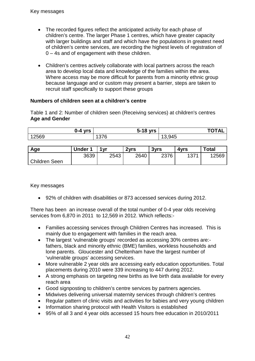- The recorded figures reflect the anticipated activity for each phase of children's centre. The larger Phase 1 centres, which have greater capacity with larger buildings and staff and which have the populations in greatest need of children's centre services, are recording the highest levels of registration of 0 – 4s and of engagement with these children.
- Children's centres actively collaborate with local partners across the reach area to develop local data and knowledge of the families within the area. Where access may be more difficult for parents from a minority ethnic group because language and or custom may present a barrier, steps are taken to recruit staff specifically to support these groups

#### **Numbers of children seen at a children's centre**

Table 1 and 2: Number of children seen (Receiving services) at children's centres **Age and Gender**

| በ-4<br><b>vrs</b><br>10 | $\overline{\phantom{a}}$<br><b>vrs</b><br>э-<br>- 33 | $\frac{1}{2}$ |
|-------------------------|------------------------------------------------------|---------------|
| .2569                   | $\sim$ $\sim$ $\sim$<br>U<br>. J 1                   | . чд $-$      |

| Age           | <b>Under 1</b> | 1 yr | 2vrs | 3vrs | 4vrs | <b>Total</b> |
|---------------|----------------|------|------|------|------|--------------|
|               | 3639           | 2543 | 2640 | 2376 | 4074 | 12569        |
| Children Seen |                |      |      |      |      |              |

Key messages

• 92% of children with disabilities or 873 accessed services during 2012.

There has been an increase overall of the total number of 0-4 year olds receiving services from 6,870 in 2011 to 12,569 in 2012. Which reflects:-

- Families accessing services through Children Centres has increased. This is mainly due to engagement with families in the reach area.
- The largest 'vulnerable groups' recorded as accessing 30% centres are: fathers, black and minority ethnic (BME) families, workless households and lone parents. Gloucester and Cheltenham have the largest number of 'vulnerable groups' accessing services.
- More vulnerable 2 year olds are accessing early education opportunities. Total placements during 2010 were 339 increasing to 447 during 2012.
- A strong emphasis on targeting new births as live birth data available for every reach area
- Good signposting to children's centre services by partners agencies.
- Midwives delivering universal maternity services through children's centres
- Regular pattern of clinic visits and activities for babies and very voung children
- Information sharing protocol with Health Visitors is established
- 95% of all 3 and 4 year olds accessed 15 hours free education in 2010/2011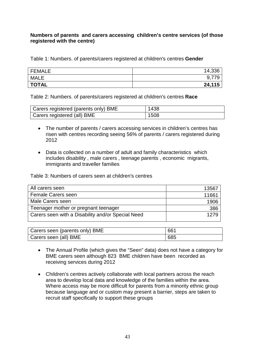#### **Numbers of parents and carers accessing children's centre services (of those registered with the centre)**

Table 1: Numbers. of parents/carers registered at children's centres **Gender**

| FEMALE       | 14,336 |
|--------------|--------|
| <b>MALE</b>  | 0.77c  |
| <b>TOTAL</b> | 24,115 |

Table 2: Numbers. of parents/carers registered at children's centres **Race** 

| Carers registered (parents only) BME | 1438 |
|--------------------------------------|------|
| Carers registered (all) BME          | 1508 |

- The number of parents / carers accessing services in children's centres has risen with centres recording seeing 56% of parents / carers registered during 2012
- Data is collected on a number of adult and family characteristics which includes disability , male carers , teenage parents , economic migrants, immigrants and traveller families

Table 3: Numbers of carers seen at children's centres

| All carers seen                                   | 13567 |
|---------------------------------------------------|-------|
| <b>Female Carers seen</b>                         | 11661 |
| Male Carers seen                                  | 1906  |
| Teenager mother or pregnant teenager              | 386   |
| Carers seen with a Disability and/or Special Need | 1279  |
|                                                   |       |

| Carers seen (parents only) BME | 661 |
|--------------------------------|-----|
| Carers seen (all) BME          | 685 |

- The Annual Profile (which gives the "Seen" data) does not have a category for BME carers seen although 823 BME children have been recorded as receiving services during 2012
- Children's centres actively collaborate with local partners across the reach area to develop local data and knowledge of the families within the area. Where access may be more difficult for parents from a minority ethnic group because language and or custom may present a barrier, steps are taken to recruit staff specifically to support these groups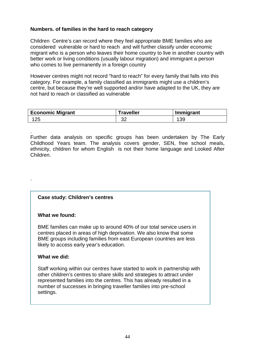#### **Numbers. of families in the hard to reach category**

Children Centre's can record where they feel appropriate BME families who are considered vulnerable or hard to reach and will further classify under economic migrant who is a person who leaves their home country to live in another country with better work or living conditions (usually labour migration) and immigrant a person who comes to live permanently in a foreign country

However centres might not record "hard to reach" for every family that falls into this category. For example, a family classified as immigrants might use a children's centre, but because they're well supported and/or have adapted to the UK, they are not hard to reach or classified as vulnerable

| Economic Migrant | Traveller | Immigrant |  |  |
|------------------|-----------|-----------|--|--|
| 125              | ົ<br>◡▵   | 39        |  |  |

. Further data analysis on specific groups has been undertaken by The Early Childhood Years team. The analysis covers gender, SEN, free school meals, ethnicity, children for whom English is not their home language and Looked After Children.

# **Case study: Children's centres**

#### **What we found:**

.

BME families can make up to around 40% of our total service users in centres placed in areas of high deprivation. We also know that some BME groups including families from east European countries are less likely to access early year's education.

#### **What we did:**

Staff working within our centres have started to work in partnership with other children's centres to share skills and strategies to attract under represented families into the centres. This has already resulted in a number of successes in bringing traveller families into pre-school settings.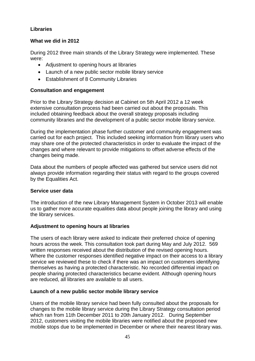# <span id="page-45-0"></span>**Libraries**

#### **What we did in 2012**

During 2012 three main strands of the Library Strategy were implemented. These were:

- Adiustment to opening hours at libraries
- Launch of a new public sector mobile library service
- Establishment of 8 Community Libraries

# **Consultation and engagement**

Prior to the Library Strategy decision at Cabinet on 5th April 2012 a 12 week extensive consultation process had been carried out about the proposals. This included obtaining feedback about the overall strategy proposals including community libraries and the development of a public sector mobile library service.

During the implementation phase further customer and community engagement was carried out for each project. This included seeking information from library users who may share one of the protected characteristics in order to evaluate the impact of the changes and where relevant to provide mitigations to offset adverse effects of the changes being made.

Data about the numbers of people affected was gathered but service users did not always provide information regarding their status with regard to the groups covered by the Equalities Act.

# **Service user data**

The introduction of the new Library Management System in October 2013 will enable us to gather more accurate equalities data about people joining the library and using the library services.

# **Adjustment to opening hours at libraries**

The users of each library were asked to indicate their preferred choice of opening hours across the week. This consultation took part during May and July 2012. 569 written responses received about the distribution of the revised opening hours. Where the customer responses identified negative impact on their access to a library service we reviewed these to check if there was an impact on customers identifying themselves as having a protected characteristic. No recorded differential impact on people sharing protected characteristics became evident. Although opening hours are reduced, all libraries are available to all users.

# **Launch of a new public sector mobile library service**

Users of the mobile library service had been fully consulted about the proposals for changes to the mobile library service during the Library Strategy consultation period which ran from 11th December 2011 to 20th January 2012. During September 2012, customers visiting the mobile libraries were notified about the proposed new mobile stops due to be implemented in December or where their nearest library was.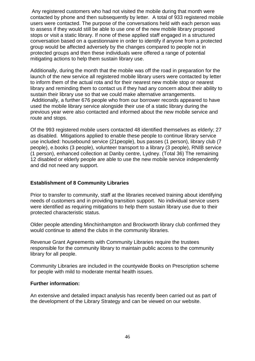Any registered customers who had not visited the mobile during that month were contacted by phone and then subsequently by letter. A total of 933 registered mobile users were contacted. The purpose of the conversations held with each person was to assess if they would still be able to use one of the new mobile library proposed stops or visit a static library. If none of these applied staff engaged in a structured conversation based on a questionnaire in order to identify if anyone from a protected group would be affected adversely by the changes compared to people not in protected groups and then these individuals were offered a range of potential mitigating actions to help them sustain library use.

Additionally, during the month that the mobile was off the road in preparation for the launch of the new service all registered mobile library users were contacted by letter to inform them of the actual rota and for their nearest new mobile stop or nearest library and reminding them to contact us if they had any concern about their ability to sustain their library use so that we could make alternative arrangements. Additionally, a further 676 people who from our borrower records appeared to have used the mobile library service alongside their use of a static library during the previous year were also contacted and informed about the new mobile service and route and stops.

Of the 993 registered mobile users contacted 48 identified themselves as elderly; 27 as disabled. Mitigations applied to enable these people to continue library service use included: housebound service (21people), bus passes (1 person), library club (7 people), e.books (3 people), volunteer transport to a library (3 people), RNIB service (1 person), enhanced collection at Danby centre, Lydney. (Total 36) The remaining 12 disabled or elderly people are able to use the new mobile service independently and did not need any support.

#### **Establishment of 8 Community Libraries**

Prior to transfer to community, staff at the libraries received training about identifying needs of customers and in providing transition support. No individual service users were identified as requiring mitigations to help them sustain library use due to their protected characteristic status.

Older people attending Minchinhampton and Brockworth library club confirmed they would continue to attend the clubs in the community libraries.

Revenue Grant Agreements with Community Libraries require the trustees responsible for the community library to maintain public access to the community library for all people.

Community Libraries are included in the countywide Books on Prescription scheme for people with mild to moderate mental health issues.

#### **Further information:**

An extensive and detailed impact analysis has recently been carried out as part of the development of the Library Strategy and can be viewed on our website.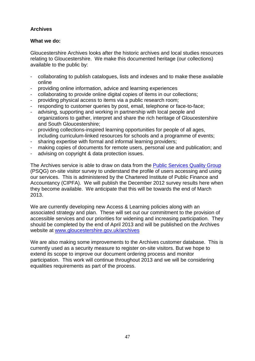# <span id="page-47-0"></span>**Archives**

# **What we do:**

Gloucestershire Archives looks after the historic archives and local studies resources relating to Gloucestershire. We make this documented heritage (our collections) available to the public by:

- collaborating to publish catalogues, lists and indexes and to make these available online
- providing online information, advice and learning experiences
- collaborating to provide online digital copies of items in our collections;
- providing physical access to items via a public research room;
- responding to customer queries by post, email, telephone or face-to-face;
- advising, supporting and working in partnership with local people and organizations to gather, interpret and share the rich heritage of Gloucestershire and South Gloucestershire;
- providing collections-inspired learning opportunities for people of all ages, including curriculum-linked resources for schools and a programme of events;
- sharing expertise with formal and informal learning providers;
- making copies of documents for remote users, personal use and publication; and
- advising on copyright & data protection issues.

The Archives service is able to draw on data from the [Public Services Quality Group](http://www.archives.org.uk/si-psqg/public-services-quality-group-psqg.html) (PSQG) on-site visitor survey to understand the profile of users accessing and using our services. This is administered by the Chartered Institute of Public Finance and Accountancy (CIPFA). We will publish the December 2012 survey results here when they become available. We anticipate that this will be towards the end of March 2013.

We are currently developing new Access & Learning policies along with an associated strategy and plan. These will set out our commitment to the provision of accessible services and our priorities for widening and increasing participation. They should be completed by the end of April 2013 and will be published on the Archives website at [www.gloucestershire.gov.uk/archives](http://www.gloucestershire.gov.uk/archives)

We are also making some improvements to the Archives customer database. This is currently used as a security measure to register on-site visitors. But we hope to extend its scope to improve our document ordering process and monitor participation. This work will continue throughout 2013 and we will be considering equalities requirements as part of the process.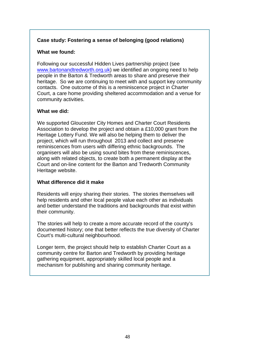# **Case study: Fostering a sense of belonging (good relations)**

#### **What we found:**

Following our successful Hidden Lives partnership project (see [www.bartonandtredworth.org.uk\)](http://www.bartonandtredworth.org.uk/) we identified an ongoing need to help people in the Barton & Tredworth areas to share and preserve their heritage. So we are continuing to meet with and support key community contacts. One outcome of this is a reminiscence project in Charter Court, a care home providing sheltered accommodation and a venue for community activities.

#### **What we did:**

We supported Gloucester City Homes and Charter Court Residents Association to develop the project and obtain a £10,000 grant from the Heritage Lottery Fund. We will also be helping them to deliver the project, which will run throughout 2013 and collect and preserve reminiscences from users with differing ethnic backgrounds. The organisers will also be using sound bites from these reminiscences, along with related objects, to create both a permanent display at the Court and on-line content for the Barton and Tredworth Community Heritage website.

#### **What difference did it make**

Residents will enjoy sharing their stories. The stories themselves will help residents and other local people value each other as individuals and better understand the traditions and backgrounds that exist within their community.

The stories will help to create a more accurate record of the county's documented history; one that better reflects the true diversity of Charter Court's multi-cultural neighbourhood.

Longer term, the project should help to establish Charter Court as a community centre for Barton and Tredworth by providing heritage gathering equipment, appropriately skilled local people and a mechanism for publishing and sharing community heritage.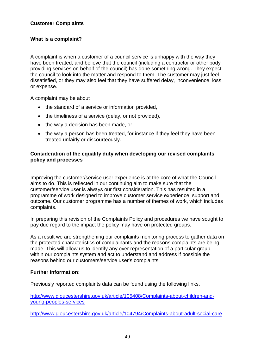# <span id="page-49-0"></span>**Customer Complaints**

# **What is a complaint?**

A complaint is when a customer of a council service is unhappy with the way they have been treated, and believe that the council (including a contractor or other body providing services on behalf of the council) has done something wrong. They expect the council to look into the matter and respond to them. The customer may just feel dissatisfied, or they may also feel that they have suffered delay, inconvenience, loss or expense.

A complaint may be about

- the standard of a service or information provided,
- the timeliness of a service (delay, or not provided),
- the way a decision has been made, or
- the way a person has been treated, for instance if they feel they have been treated unfairly or discourteously.

#### **Consideration of the equality duty when developing our revised complaints policy and processes**

Improving the customer/service user experience is at the core of what the Council aims to do. This is reflected in our continuing aim to make sure that the customer/service user is always our first consideration. This has resulted in a programme of work designed to improve customer service experience, support and outcome. Our customer programme has a number of themes of work, which includes complaints.

In preparing this revision of the Complaints Policy and procedures we have sought to pay due regard to the impact the policy may have on protected groups.

As a result we are strengthening our complaints monitoring process to gather data on the protected characteristics of complainants and the reasons complaints are being made. This will allow us to identify any over representation of a particular group within our complaints system and act to understand and address if possible the reasons behind our customers/service user's complaints.

#### **Further information:**

Previously reported complaints data can be found using the following links.

[http://www.gloucestershire.gov.uk/article/105408/Complaints-about-children-and](http://www.gloucestershire.gov.uk/article/105408/Complaints-about-children-and-young-peoples-services)[young-peoples-services](http://www.gloucestershire.gov.uk/article/105408/Complaints-about-children-and-young-peoples-services)

<http://www.gloucestershire.gov.uk/article/104794/Complaints-about-adult-social-care>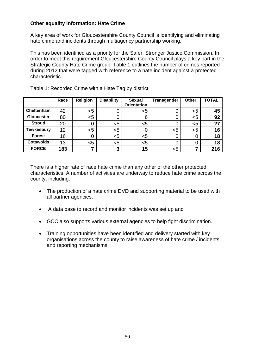#### <span id="page-50-0"></span>**Other equality information: Hate Crime**

A key area of work for Gloucestershire County Council is identifying and eliminating hate crime and incidents through multiagency partnership working.

This has been identified as a priority for the Safer, Stronger Justice Commission. In order to meet this requirement Gloucestershire County Council plays a key part in the Strategic County Hate Crime group. Table 1 outlines the number of crimes reported during 2012 that were tagged with reference to a hate incident against a protected characteristic.

|                   | Race | <b>Religion</b> | <b>Disability</b> | <b>Sexual</b>      | <b>Transgender</b> | Other | <b>TOTAL</b> |
|-------------------|------|-----------------|-------------------|--------------------|--------------------|-------|--------------|
|                   |      |                 |                   | <b>Orientation</b> |                    |       |              |
| Cheltenham        | 42   | <5              |                   | <5                 |                    | $<$ 5 | 45           |
| <b>Gloucester</b> | 80   | <5              |                   | 6                  |                    | $5$   | 92           |
| <b>Stroud</b>     | 20   |                 | <5                | $5$                |                    | $5$   | 27           |
| <b>Tewkesbury</b> | 12   | $<$ 5           | <5                |                    | $<$ 5              | $5$   | 16           |
| <b>Forest</b>     | 16   |                 | $5$               | $<$ 5              |                    |       | 18           |
| <b>Cotswolds</b>  | 13   | <5              | <5                | <5                 |                    |       | 18           |
| <b>FORCE</b>      | 183  |                 | 3                 | 15                 | <5                 |       | 216          |

Table 1: Recorded Crime with a Hate Tag by district

There is a higher rate of race hate crime than any other of the other protected characteristics. A number of activities are underway to reduce hate crime across the county, including:

- The production of a hate crime DVD and supporting material to be used with all partner agencies.
- A data base to record and monitor incidents was set up and
- GCC also supports various external agencies to help fight discrimination.
- Training opportunities have been identified and delivery started with key organisations across the county to raise awareness of hate crime / incidents and reporting mechanisms.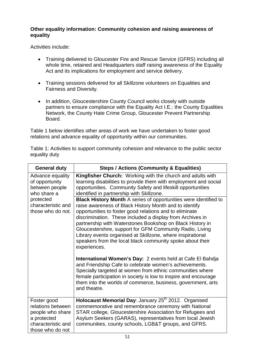# <span id="page-51-0"></span>**Other equality information: Community cohesion and raising awareness of equality**

Activities include:

- Training delivered to Gloucester Fire and Rescue Service (GFRS) including all whole time, retained and Headquarters staff raising awareness of the Equality Act and its implications for employment and service delivery.
- Training sessions delivered for all Skillzone volunteers on Equalities and Fairness and Diversity.
- In addition, Gloucestershire County Council works closely with outside partners to ensure compliance with the Equality Act I.E.: the County Equalities Network, the County Hate Crime Group, Gloucester Prevent Partnership Board.

Table 1 below identifies other areas of work we have undertaken to foster good relations and advance equality of opportunity within our communities.

Table 1: Activities to support community cohesion and relevance to the public sector equality duty

| <b>General duty</b>                                                                                           | <b>Steps / Actions (Community &amp; Equalities)</b>                                                                                                                                                                                                                                                                                                                                                                                                                                                                                                                                         |  |  |  |  |
|---------------------------------------------------------------------------------------------------------------|---------------------------------------------------------------------------------------------------------------------------------------------------------------------------------------------------------------------------------------------------------------------------------------------------------------------------------------------------------------------------------------------------------------------------------------------------------------------------------------------------------------------------------------------------------------------------------------------|--|--|--|--|
| Advance equality<br>of opportunity<br>between people<br>who share a                                           | Kingfisher Church: Working with the church and adults with<br>learning disabilities to provide them with employment and social<br>opportunities. Community Safety and lifeskill opportunities<br>identified in partnership with Skillzone.                                                                                                                                                                                                                                                                                                                                                  |  |  |  |  |
| protected<br>characteristic and<br>those who do not.                                                          | <b>Black History Month A series of opportunities were identified to</b><br>raise awareness of Black History Month and to identify<br>opportunities to foster good relations and to eliminate<br>discrimination. These included a display from Archives in<br>partnership with Waterstones Bookshop on Black History in<br>Gloucestershire, support for GFM Community Radio, Living<br>Library events organised at Skillzone, where inspirational<br>speakers from the local black community spoke about their<br>experiences.<br>International Women's Day: 2 events held at Cafe El Bahdja |  |  |  |  |
|                                                                                                               | and Friendship Cafe to celebrate women's achievements.<br>Specially targeted at women from ethnic communities where<br>female participation in society is low to inspire and encourage<br>them into the worlds of commerce, business, government, arts<br>and theatre.                                                                                                                                                                                                                                                                                                                      |  |  |  |  |
| Foster good<br>relations between<br>people who share<br>a protected<br>characteristic and<br>those who do not | Holocaust Memorial Day: January 25 <sup>th</sup> 2012. Organised<br>commemorative and remembrance ceremony with National<br>STAR college, Gloucestershire Association for Refugees and<br>Asylum Seekers (GARAS), representatives from local Jewish<br>communities, county schools, LGB&T groups, and GFRS.                                                                                                                                                                                                                                                                                 |  |  |  |  |